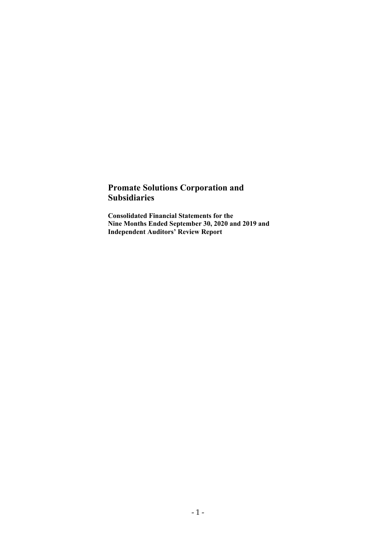# **Promate Solutions Corporation and Subsidiaries**

**Consolidated Financial Statements for the Nine Months Ended September 30, 2020 and 2019 and Independent Auditors' Review Report**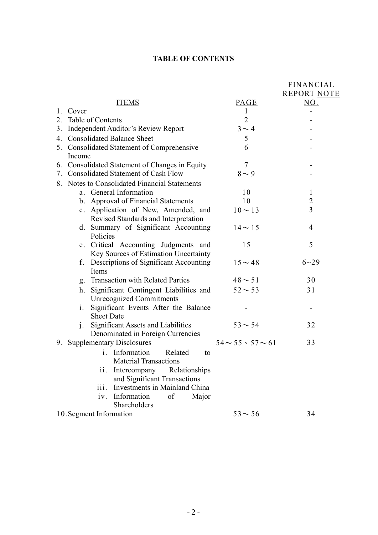# **TABLE OF CONTENTS**

|    |                                                |                               | <b>FINANCIAL</b> |
|----|------------------------------------------------|-------------------------------|------------------|
|    |                                                |                               | REPORT NOTE      |
|    | <b>ITEMS</b>                                   | PAGE                          | NO.              |
|    | 1. Cover                                       |                               |                  |
| 2. | Table of Contents                              | $\overline{2}$                |                  |
|    | 3. Independent Auditor's Review Report         | $3 \sim 4$                    |                  |
|    | 4. Consolidated Balance Sheet                  | 5                             |                  |
|    | 5. Consolidated Statement of Comprehensive     | 6                             |                  |
|    | Income                                         |                               |                  |
|    | 6. Consolidated Statement of Changes in Equity | $\overline{7}$                |                  |
|    | 7. Consolidated Statement of Cash Flow         | $8\sim9$                      |                  |
|    | 8. Notes to Consolidated Financial Statements  |                               |                  |
|    | a. General Information                         | 10                            | $\mathbf{1}$     |
|    | b. Approval of Financial Statements            | 10                            | $\overline{c}$   |
|    | c. Application of New, Amended, and            | $10 \sim 13$                  | $\overline{3}$   |
|    | Revised Standards and Interpretation           |                               |                  |
|    | d. Summary of Significant Accounting           | $14 \sim 15$                  | 4                |
|    | Policies                                       |                               |                  |
|    | e. Critical Accounting Judgments and           | 15                            | 5                |
|    | Key Sources of Estimation Uncertainty          |                               |                  |
|    | f. Descriptions of Significant Accounting      | $15 \sim 48$                  | $6 - 29$         |
|    | Items                                          |                               |                  |
|    | g. Transaction with Related Parties            | $48 \sim 51$                  | 30               |
|    | Significant Contingent Liabilities and<br>h.   | $52 \sim 53$                  | 31               |
|    | <b>Unrecognized Commitments</b>                |                               |                  |
|    | Significant Events After the Balance<br>$i$ .  |                               |                  |
|    | <b>Sheet Date</b>                              |                               |                  |
|    | j. Significant Assets and Liabilities          | $53 - 54$                     | 32               |
|    | Denominated in Foreign Currencies              |                               |                  |
| 9. | <b>Supplementary Disclosures</b>               | $54 \sim 55 \cdot 57 \sim 61$ | 33               |
|    | Information<br>Related<br>i.<br>to             |                               |                  |
|    | <b>Material Transactions</b>                   |                               |                  |
|    | ii.<br>Intercompany<br>Relationships           |                               |                  |
|    | and Significant Transactions                   |                               |                  |
|    | iii.<br>Investments in Mainland China          |                               |                  |
|    | Information<br>of<br>Major<br>iv.              |                               |                  |
|    | Shareholders                                   |                               |                  |
|    | 10. Segment Information                        | $53 \sim 56$                  | 34               |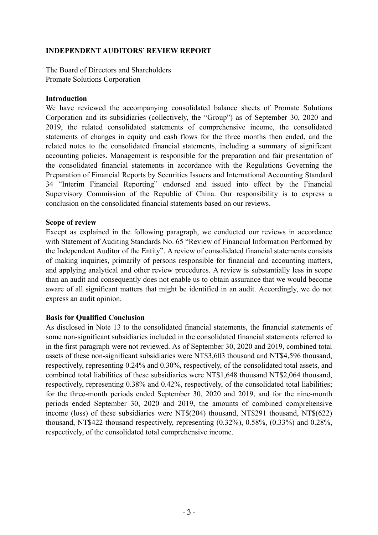### **INDEPENDENT AUDITORS' REVIEW REPORT**

The Board of Directors and Shareholders Promate Solutions Corporation

### **Introduction**

We have reviewed the accompanying consolidated balance sheets of Promate Solutions Corporation and its subsidiaries (collectively, the "Group") as of September 30, 2020 and 2019, the related consolidated statements of comprehensive income, the consolidated statements of changes in equity and cash flows for the three months then ended, and the related notes to the consolidated financial statements, including a summary of significant accounting policies. Management is responsible for the preparation and fair presentation of the consolidated financial statements in accordance with the Regulations Governing the Preparation of Financial Reports by Securities Issuers and International Accounting Standard 34 "Interim Financial Reporting" endorsed and issued into effect by the Financial Supervisory Commission of the Republic of China. Our responsibility is to express a conclusion on the consolidated financial statements based on our reviews.

#### **Scope of review**

Except as explained in the following paragraph, we conducted our reviews in accordance with Statement of Auditing Standards No. 65 "Review of Financial Information Performed by the Independent Auditor of the Entity". A review of consolidated financial statements consists of making inquiries, primarily of persons responsible for financial and accounting matters, and applying analytical and other review procedures. A review is substantially less in scope than an audit and consequently does not enable us to obtain assurance that we would become aware of all significant matters that might be identified in an audit. Accordingly, we do not express an audit opinion.

### **Basis for Qualified Conclusion**

As disclosed in Note 13 to the consolidated financial statements, the financial statements of some non-significant subsidiaries included in the consolidated financial statements referred to in the first paragraph were not reviewed. As of September 30, 2020 and 2019, combined total assets of these non-significant subsidiaries were NT\$3,603 thousand and NT\$4,596 thousand, respectively, representing 0.24% and 0.30%, respectively, of the consolidated total assets, and combined total liabilities of these subsidiaries were NT\$1,648 thousand NT\$2,064 thousand, respectively, representing 0.38% and 0.42%, respectively, of the consolidated total liabilities; for the three-month periods ended September 30, 2020 and 2019, and for the nine-month periods ended September 30, 2020 and 2019, the amounts of combined comprehensive income (loss) of these subsidiaries were NT\$(204) thousand, NT\$291 thousand, NT\$(622) thousand, NT\$422 thousand respectively, representing (0.32%), 0.58%, (0.33%) and 0.28%, respectively, of the consolidated total comprehensive income.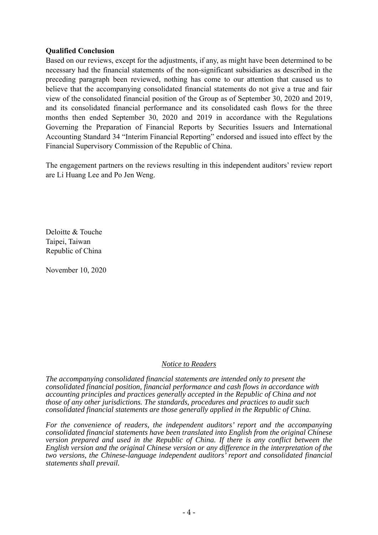### **Qualified Conclusion**

Based on our reviews, except for the adjustments, if any, as might have been determined to be necessary had the financial statements of the non-significant subsidiaries as described in the preceding paragraph been reviewed, nothing has come to our attention that caused us to believe that the accompanying consolidated financial statements do not give a true and fair view of the consolidated financial position of the Group as of September 30, 2020 and 2019, and its consolidated financial performance and its consolidated cash flows for the three months then ended September 30, 2020 and 2019 in accordance with the Regulations Governing the Preparation of Financial Reports by Securities Issuers and International Accounting Standard 34 "Interim Financial Reporting" endorsed and issued into effect by the Financial Supervisory Commission of the Republic of China.

The engagement partners on the reviews resulting in this independent auditors' review report are Li Huang Lee and Po Jen Weng.

Deloitte & Touche Taipei, Taiwan Republic of China

November 10, 2020

#### *Notice to Readers*

*The accompanying consolidated financial statements are intended only to present the consolidated financial position, financial performance and cash flows in accordance with accounting principles and practices generally accepted in the Republic of China and not those of any other jurisdictions. The standards, procedures and practices to audit such consolidated financial statements are those generally applied in the Republic of China.* 

*For the convenience of readers, the independent auditors' report and the accompanying consolidated financial statements have been translated into English from the original Chinese version prepared and used in the Republic of China. If there is any conflict between the English version and the original Chinese version or any difference in the interpretation of the two versions, the Chinese-language independent auditors' report and consolidated financial statements shall prevail.*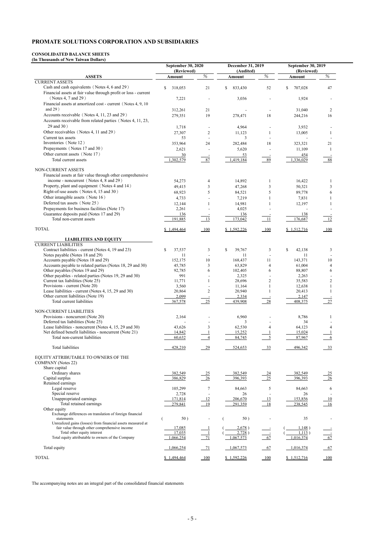#### **CONSOLIDATED BALANCE SHEETS (In Thousands of New Taiwan Dollars)**

|                                                                                                                                           | <b>September 30, 2020</b><br>(Reviewed) |                          | December 31, 2019<br>(Audited) |                          | <b>September 30, 2019</b><br>(Reviewed) |                               |
|-------------------------------------------------------------------------------------------------------------------------------------------|-----------------------------------------|--------------------------|--------------------------------|--------------------------|-----------------------------------------|-------------------------------|
| <b>ASSETS</b>                                                                                                                             | Amount                                  | $\%$                     | Amount                         | $\%$                     | Amount                                  | %                             |
| <b>CURRENT ASSETS</b><br>Cash and cash equivalents (Notes 4, 6 and 29)<br>Financial assets at fair value through profit or loss - current | \$<br>318,053                           | 21                       | \$<br>833,430                  | 52                       | \$<br>707,028                           | 47                            |
| (Notes 4, 7 and 29)<br>Financial assets at amortized cost - current (Notes 4, 9, 10)                                                      | 7,221                                   |                          | 3,036                          |                          | 1,924                                   |                               |
| and $29)$                                                                                                                                 | 312,261                                 | 21                       |                                |                          | 31,040                                  | 2                             |
| Accounts receivable (Notes 4, 11, 23 and 29)<br>Accounts receivable from related parties (Notes 4, 11, 23,                                | 279,351                                 | 19                       | 278,471                        | 18                       | 244,216                                 | 16                            |
| 29 and 30)                                                                                                                                | 1,718                                   | $\overline{\phantom{a}}$ | 4,964                          |                          | 3,932                                   |                               |
| Other receivables (Notes 4, 11 and 29)                                                                                                    | 27,307                                  | $\boldsymbol{2}$         | 11,123                         |                          | 13,005                                  |                               |
| Current tax assets<br>Inventories (Note 12)                                                                                               | 53                                      | $\blacksquare$           | 3                              |                          |                                         |                               |
| Prepayments (Notes 17 and 30)                                                                                                             | 353,964<br>2,621                        | 24                       | 282,484<br>5,620               | 18                       | 323,321<br>11,109                       | 21                            |
| Other current assets (Note 17)                                                                                                            | 30                                      |                          | 53                             |                          | 454                                     |                               |
| Total current assets                                                                                                                      | 1,302,579                               | 87                       | 1,419,184                      | 89                       | 1,336,029                               | 88                            |
| NON-CURRENT ASSETS                                                                                                                        |                                         |                          |                                |                          |                                         |                               |
| Financial assets at fair value through other comprehensive<br>income - noncurrent (Notes 4, 8 and 29)                                     | 54,273                                  |                          |                                | 1                        | 16,422                                  | 1                             |
| Property, plant and equipment (Notes 4 and 14)                                                                                            | 49,415                                  | 4<br>3                   | 14,892<br>47,268               | 3                        | 50,321                                  | 3                             |
| Right-of-use assets (Notes 4, 15 and 30)                                                                                                  | 68,923                                  | 5                        | 84,521                         | 5                        | 89,778                                  | 6                             |
| Other intangible assets (Note 16)                                                                                                         | 4,733                                   |                          | 7,219                          |                          | 7,831                                   |                               |
| Deferred tax assets (Note 25)                                                                                                             | 12,144                                  |                          | 14,981                         |                          | 12,197                                  |                               |
| Prepayments for business facilities (Note 17)                                                                                             | 2,261                                   |                          | 4,025                          |                          |                                         |                               |
| Guarantee deposits paid (Notes 17 and 29)<br>Total non-current assets                                                                     | 136<br>191,885                          | 13                       | 136<br>173,042                 | 11                       | 138<br>176,687                          | 12                            |
| <b>TOTAL</b>                                                                                                                              | \$1,494,464                             | 100                      | \$1,592,226                    |                          | \$1,512,716                             | $\underline{\underline{100}}$ |
|                                                                                                                                           |                                         |                          |                                |                          |                                         |                               |
| <b>LIABILITIES AND EQUITY</b><br><b>CURRENT LIABILITIES</b>                                                                               |                                         |                          |                                |                          |                                         |                               |
| Contract liabilities - current (Notes 4, 19 and 23)                                                                                       | \$<br>37,537                            | $\mathfrak{Z}$           | 39,767<br><sup>\$</sup>        | 3                        | \$<br>42,138                            | 3                             |
| Notes payable (Notes 18 and 29)                                                                                                           | 11                                      |                          | 11                             |                          | 11                                      |                               |
| Accounts payable (Notes 18 and 29)                                                                                                        | 152,175                                 | 10                       | 168,437                        | 11                       | 143,371                                 | 10                            |
| Accounts payable to related parties (Notes 18, 29 and 30)                                                                                 | 45,785                                  | $\sqrt{3}$               | 63,829                         | 4                        | 61,004                                  | 4                             |
| Other payables (Notes 19 and 29)<br>Other payables - related parties (Notes 19, 29 and 30)                                                | 92,785<br>991                           | 6                        | 102,405<br>2,325               | 6                        | 88,807<br>2,263                         | 6                             |
| Current tax liabilities (Note 25)                                                                                                         | 11,771                                  |                          | 28,696                         | $\overline{c}$           | 35,583                                  | 2                             |
| Provisions - current (Note 20)                                                                                                            | 3,560                                   |                          | 11,164                         |                          | 12,638                                  |                               |
| Lease liabilities - current (Notes 4, 15, 29 and 30)                                                                                      | 20,864                                  | $\overline{2}$           | 20,940                         |                          | 20,413                                  |                               |
| Other current liabilities (Note 19)                                                                                                       | 2,099                                   |                          | 2,334                          |                          | 2,147                                   |                               |
| Total current liabilities                                                                                                                 | 367,578                                 | 25                       | 439,908                        | 28                       | 408,375                                 | 27                            |
| NON-CURRENT LIABILITIES                                                                                                                   |                                         |                          |                                |                          |                                         |                               |
| Provisions - noncurrent (Note 20)<br>Deferred tax liabilities (Note 25)                                                                   | 2,164                                   |                          | 6,960<br>3                     |                          | 8,786<br>34                             |                               |
| Lease liabilities - noncurrent (Notes 4, 15, 29 and 30)                                                                                   | 43,626                                  | 3                        | 62,530                         | $\overline{4}$           | 64,123                                  | $\overline{4}$                |
| Net defined benefit liabilities - noncurrent (Note 21)                                                                                    | 14,842                                  |                          | 15,252                         |                          | 15,024                                  |                               |
| Total non-current liabilities                                                                                                             | 60,632                                  | $\overline{4}$           | 84,745                         | $\overline{\phantom{0}}$ | 87,967                                  |                               |
| <b>Total liabilities</b>                                                                                                                  | 428,210                                 | $-29$                    | 524,653                        | $-33$                    | 496,342                                 | $\frac{33}{2}$                |
| EQUITY ATTRIBUTABLE TO OWNERS OF THE<br><b>COMPANY</b> (Notes 22)                                                                         |                                         |                          |                                |                          |                                         |                               |
| Share capital                                                                                                                             |                                         |                          |                                |                          |                                         |                               |
| Ordinary shares                                                                                                                           | 382,549                                 | 25                       | 382,549                        | $\frac{24}{25}$          | 382,549                                 | $\frac{25}{2}$                |
| Capital surplus<br>Retained earnings                                                                                                      | 386,829                                 | 26                       | 396,393                        |                          | 396,393                                 | 26                            |
| Legal reserve                                                                                                                             | 105,299                                 | 7                        | 84,663                         | 5                        | 84,663                                  | 6                             |
| Special reserve                                                                                                                           | 2,728                                   |                          | 26                             |                          | 26                                      |                               |
| Unappropriated earnings                                                                                                                   | 171,814                                 | 12                       | 206,670                        | 13                       | 153,856                                 | 10                            |
| Total retained earnings                                                                                                                   | 279,841                                 | 19                       | 291,359                        | 18                       | 238,545                                 | 16                            |
| Other equity<br>Exchange differences on translation of foreign financial                                                                  |                                         |                          |                                |                          |                                         |                               |
| statements<br>Unrealized gains (losses) from financial assets measured at                                                                 | 50)                                     |                          | 50)                            |                          | 35                                      |                               |
| fair value through other comprehensive income                                                                                             | 17,085                                  |                          | 2,678)                         |                          | 1,148)                                  |                               |
| Total other equity interest                                                                                                               | 17,035                                  |                          | 2,728)                         |                          | 1,113)                                  |                               |
| Total equity attributable to owners of the Company                                                                                        | 1,066,254                               | $\overline{71}$          | 1,067,573                      | 67                       | 1,016,374                               | $\frac{1}{67}$                |
| Total equity                                                                                                                              | 1,066,254                               | $-71$                    | 1,067,573                      | 67                       | 1,016,374                               | $-67$                         |
| <b>TOTAL</b>                                                                                                                              | \$1,494,464                             | 100                      | \$1,592,226                    | 100                      | \$1,512,716                             | 100                           |

The accompanying notes are an integral part of the consolidated financial statements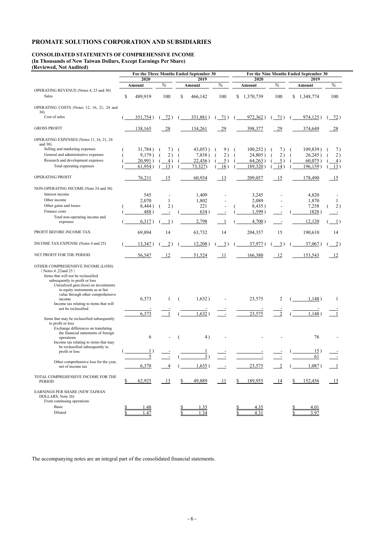# **CONSOLIDATED STATEMENTS OF COMPREHENSIVE INCOME (In Thousands of New Taiwan Dollars, Except Earnings Per Share)**

**(Reviewed, Not Audited)** 

|                                                                           |               |                  | For the Three Months Ended September 30 |                 | For the Nine Months Ended September 30 |                  |             |                                   |  |  |
|---------------------------------------------------------------------------|---------------|------------------|-----------------------------------------|-----------------|----------------------------------------|------------------|-------------|-----------------------------------|--|--|
|                                                                           | 2020          |                  | 2019                                    |                 | 2020                                   |                  | 2019        |                                   |  |  |
|                                                                           | Amount        | $\%$             | Amount                                  | $\%$            | Amount                                 | %                | Amount      | %                                 |  |  |
| OPERATING REVENUE (Notes 4, 23 and 30)                                    |               |                  |                                         |                 |                                        |                  |             |                                   |  |  |
| Sales                                                                     | \$<br>489,919 | 100              | \$<br>466,142                           | 100             | \$1,370,739                            | 100              | \$1,348,774 | 100                               |  |  |
| OPERATING COSTS (Notes 12, 16, 21, 24 and                                 |               |                  |                                         |                 |                                        |                  |             |                                   |  |  |
| 30)                                                                       |               |                  |                                         |                 |                                        |                  |             |                                   |  |  |
| Cost of sales                                                             | 351,754)      | 72)              | 331,881)                                | 71)             | 972,362)                               | 71)              | $974,125$ ) | $-72)$                            |  |  |
| <b>GROSS PROFIT</b>                                                       | 138,165       | 28               | 134,261                                 | $-29$           | 398,377                                | $-29$            | 374,649     | $-28$                             |  |  |
| OPERATING EXPENSES (Notes 11, 16, 21, 24<br>and $30$ )                    |               |                  |                                         |                 |                                        |                  |             |                                   |  |  |
| Selling and marketing expenses                                            | 31,784)       | 7)               | 43,053)                                 | 9)              | 100,252)                               | 7)               | 109,839)    | 7)                                |  |  |
| General and administrative expenses                                       | 9,179)        | 2)               | 7,838)                                  | 2)              | 24,805)                                | 2)               | 26,245)     | 2)                                |  |  |
| Research and development expenses                                         | 20,991)       | 4)               | 22,436)                                 | 5)              | 64,263)                                | 5)               | 60,075)     | $\vert 4 \rangle$                 |  |  |
| Total operating expenses                                                  | 61,954)       | 13)              | 73,327)                                 | 16)             | 189,320)                               | 14)              | $196,159$ ) | 13)                               |  |  |
|                                                                           |               |                  |                                         |                 |                                        |                  |             |                                   |  |  |
| OPERATING PROFIT                                                          | 76,211        | 15               | 60,934                                  | 13              | 209,057                                | 15               | 178,490     | 15                                |  |  |
| NON-OPERATING INCOME (Note 24 and 30)                                     |               |                  |                                         |                 |                                        |                  |             |                                   |  |  |
| Interest income                                                           | 545           |                  | 1,409                                   |                 | 3,245                                  |                  | 4,820       |                                   |  |  |
| Other income                                                              | 2,070         | $\mathbf{1}$     | 1,802                                   |                 | 2,089                                  |                  | 1,870       | 1                                 |  |  |
| Other gains and losses                                                    | 8,444)        | 2)               | 221                                     |                 | 8,435)                                 |                  | 7,258       | 2)                                |  |  |
| Finance costs                                                             | 488)          |                  | 634)                                    |                 | 1,599)                                 |                  | 1828)       |                                   |  |  |
| Total non-operating income and                                            |               |                  |                                         |                 |                                        |                  |             |                                   |  |  |
| expenses                                                                  | 6,317)        | $\left(1\right)$ | 2,798                                   |                 | 4,700)                                 |                  | 12,120      | $\begin{pmatrix} 1 \end{pmatrix}$ |  |  |
| PROFIT BEFORE INCOME TAX                                                  | 69,894        | 14               | 63,732                                  | 14              | 204,357                                | 15               | 190,610     | 14                                |  |  |
| INCOME TAX EXPENSE (Notes 4 and 25)                                       | 13,347)       | $\overline{2})$  | 12,208)                                 | $\overline{3})$ | 37,977)                                | $\overline{3}$ ) | $37,067$ )  | $\frac{2}{2}$                     |  |  |
| NET PROFIT FOR THE PERIOD                                                 | 56,547        | 12               | 51,524                                  | - 11            | 166,380                                | 12               | 153,543     | 12                                |  |  |
| OTHER COMPREHENSIVE INCOME (LOSS)                                         |               |                  |                                         |                 |                                        |                  |             |                                   |  |  |
| (Notes 4,22and 25)                                                        |               |                  |                                         |                 |                                        |                  |             |                                   |  |  |
| Items that will not be reclassified                                       |               |                  |                                         |                 |                                        |                  |             |                                   |  |  |
| subsequently to profit or loss                                            |               |                  |                                         |                 |                                        |                  |             |                                   |  |  |
| Unrealized gain (loss) on investments<br>in equity instruments as at fair |               |                  |                                         |                 |                                        |                  |             |                                   |  |  |
| value through other comprehensive                                         |               |                  |                                         |                 |                                        |                  |             |                                   |  |  |
| income                                                                    | 6,373         |                  | 1,632)                                  |                 | 23,575                                 | 2                | 1,148)      |                                   |  |  |
| Income tax relating to items that will<br>not be reclassified             |               |                  |                                         |                 |                                        |                  |             |                                   |  |  |
|                                                                           | 6,373         |                  | 1,632)                                  |                 | 23,575                                 | $\overline{2}$   | 1,148       |                                   |  |  |
| Items that may be reclassified subsequently                               |               |                  |                                         |                 |                                        |                  |             |                                   |  |  |
| to profit or loss                                                         |               |                  |                                         |                 |                                        |                  |             |                                   |  |  |
| Exchange differences on translating                                       |               |                  |                                         |                 |                                        |                  |             |                                   |  |  |
| the financial statements of foreign                                       |               |                  |                                         |                 |                                        |                  |             |                                   |  |  |
| operations                                                                | 6             |                  | 4)                                      |                 |                                        |                  | 76          |                                   |  |  |
| Income tax relating to items that may<br>be reclassified subsequently to  |               |                  |                                         |                 |                                        |                  |             |                                   |  |  |
| profit or loss                                                            |               |                  |                                         |                 |                                        |                  | 15)         |                                   |  |  |
|                                                                           | 5             |                  | $\overline{3}$ )                        |                 |                                        |                  | 61          |                                   |  |  |
| Other comprehensive loss for the year,                                    |               |                  |                                         |                 |                                        |                  |             |                                   |  |  |
| net of income tax                                                         | 6,378         |                  | 1,635)                                  |                 | 23,575                                 | $\overline{2}$   | ,087)       |                                   |  |  |
|                                                                           |               |                  |                                         |                 |                                        |                  |             |                                   |  |  |
| TOTAL COMPREHENSIVE INCOME FOR THE<br><b>PERIOD</b>                       | 62,925        | -13              | 49,889                                  | -11             | 189,955                                | <u> 14</u>       | 152,456     | <u>13</u>                         |  |  |
|                                                                           |               |                  |                                         |                 |                                        |                  |             |                                   |  |  |

▃

EARNINGS PER SHARE (NEW TAIWAN

From continuing operations

| $\sim$<br>Basic |  | . | $\cdot$ $\cdot$ |  |
|-----------------|--|---|-----------------|--|
| Diluted         |  |   |                 |  |

The accompanying notes are an integral part of the consolidated financial statements.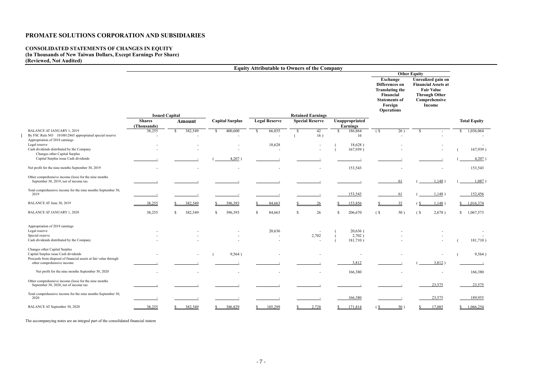### **CONSOLIDATED STATEMENTS OF CHANGES IN EQUITY (In Thousands of New Taiwan Dollars, Except Earnings Per Share)**

**(Reviewed, Not Audited)** 

|                                                                                                                    |                              |                          |    |                          |               | <b>Equity Attributable to Owners of the Company</b> |              |                          |                                   |                                  |                           |                                                                                                      |                   |                                                                                                                          |              |                        |
|--------------------------------------------------------------------------------------------------------------------|------------------------------|--------------------------|----|--------------------------|---------------|-----------------------------------------------------|--------------|--------------------------|-----------------------------------|----------------------------------|---------------------------|------------------------------------------------------------------------------------------------------|-------------------|--------------------------------------------------------------------------------------------------------------------------|--------------|------------------------|
|                                                                                                                    |                              |                          |    |                          |               |                                                     |              | <b>Other Equity</b>      |                                   |                                  |                           |                                                                                                      |                   |                                                                                                                          |              |                        |
|                                                                                                                    |                              |                          |    |                          |               |                                                     |              |                          |                                   |                                  |                           | Exchange<br>Differences on<br><b>Translating the</b><br>Financial<br><b>Statements of</b><br>Foreign |                   | Unrealized gain on<br><b>Financial Assets at</b><br><b>Fair Value</b><br><b>Through Other</b><br>Comprehensive<br>Income |              |                        |
|                                                                                                                    |                              | <b>Issued Capital</b>    |    |                          |               |                                                     |              | <b>Retained Earnings</b> |                                   |                                  |                           | <b>Operations</b>                                                                                    |                   |                                                                                                                          |              |                        |
|                                                                                                                    | <b>Shares</b><br>(Thousands) | <b>Amount</b>            |    | <b>Capital Surplus</b>   |               | <b>Legal Reserve</b>                                |              | <b>Special Reserve</b>   |                                   | Unappropriate<br><b>Earnings</b> |                           |                                                                                                      |                   |                                                                                                                          |              | <b>Total Equity</b>    |
| <b>BALANCE AT JANUARY 1, 2019</b><br>By FSC Rule NO 1010012865 appropriated special reserve                        | 38,255                       | 382,549<br><sup>\$</sup> | -S | 400,600                  | <sup>\$</sup> | 66,035                                              | <sup>S</sup> | 42<br>16)                | \$                                | 186,864<br>16                    | $\sqrt{S}$                | $\overline{26}$ )<br>$\overline{\phantom{a}}$                                                        | -S                |                                                                                                                          | <sup>S</sup> | 1,036,064              |
| Appropriation of 2018 earnings<br>Legal reserve<br>Cash dividends distributed by the Company                       |                              |                          |    |                          |               | 18,628                                              |              |                          |                                   | 18,628)<br>167,939)              |                           |                                                                                                      |                   |                                                                                                                          |              | 167,939)               |
| Changes other Capital Surplus<br>Capital Surplus issue Cash dividends                                              |                              |                          |    | $4,207$ )                |               |                                                     |              |                          |                                   |                                  |                           |                                                                                                      |                   |                                                                                                                          |              | $4,207$ )              |
| Net profit for the nine months September 30, 2019                                                                  |                              |                          |    | $\overline{\phantom{a}}$ |               |                                                     |              |                          |                                   | 153,543                          |                           |                                                                                                      |                   |                                                                                                                          |              | 153,543                |
| Other comprehensive income (loss) for the nine months<br>September 30, 2019, net of income tax                     |                              |                          |    |                          |               |                                                     |              |                          |                                   |                                  |                           | 61                                                                                                   |                   | 1,148                                                                                                                    |              | 1,087)                 |
| Total comprehensive income for the nine months September 30,<br>2019                                               |                              |                          |    |                          |               |                                                     |              |                          |                                   | 153,543                          |                           | 61                                                                                                   |                   | 1,148)                                                                                                                   |              | 152,456                |
| BALANCE AT June 30, 2019                                                                                           | 38,255                       | 382,549                  |    | 396,393                  |               | 84,663                                              |              | 26                       |                                   | 153,856                          |                           | 35                                                                                                   |                   | 1,148)                                                                                                                   |              | 1,016,374              |
| <b>BALANCE AT JANUARY 1, 2020</b>                                                                                  | 38,255                       | 382,549<br><sup>S</sup>  | \$ | 396,393                  | <sup>\$</sup> | 84,663                                              | \$           | 26                       | <sup>\$</sup>                     | 206,670                          | (S <sup>2</sup> )         | 50)                                                                                                  | (S <sup>2</sup> ) | 2,678)                                                                                                                   | $\mathbb{S}$ | 1,067,573              |
| Appropriation of 2019 earnings<br>Legal reserve<br>Special reserve                                                 |                              |                          |    |                          |               | 20,636                                              |              | 2,702                    |                                   | 20,636)<br>2,702)                |                           |                                                                                                      |                   |                                                                                                                          |              |                        |
| Cash dividends distributed by the Company<br>Changes other Capital Surplus<br>Capital Surplus issue Cash dividends |                              |                          |    | 9,564)                   |               |                                                     |              |                          |                                   | 181,710)                         |                           |                                                                                                      |                   |                                                                                                                          |              | 181,710)<br>9,564)     |
| Proceeds from disposal of financial assets at fair value through<br>other comprehensive income                     |                              |                          |    |                          |               |                                                     |              |                          |                                   | 3,812                            |                           |                                                                                                      |                   | 3,812)                                                                                                                   |              |                        |
| Net profit for the nine months September 30, 2020                                                                  |                              |                          |    |                          |               |                                                     |              | $\overline{\phantom{a}}$ |                                   | 166,380                          |                           |                                                                                                      |                   |                                                                                                                          |              | 166,380                |
| Other comprehensive income (loss) for the nine months<br>September 30, 2020, net of income tax                     |                              |                          |    |                          |               |                                                     |              |                          |                                   |                                  |                           |                                                                                                      |                   | 23,575                                                                                                                   |              | 23,575                 |
| Total comprehensive income for the nine months September 30,<br>2020                                               |                              |                          |    |                          |               |                                                     |              |                          |                                   | 166,380                          |                           |                                                                                                      |                   | 23,575                                                                                                                   |              | 189,955                |
| BALANCE AT September 30, 2020                                                                                      | 38,255                       | 382,549<br>S             |    | 386,829                  | <u>s </u>     | 105,299                                             |              | 2,728                    | $\frac{\mathcal{S}}{\mathcal{S}}$ | 171,814                          | $\underline{\mathcal{S}}$ | 50)                                                                                                  |                   | 17,085                                                                                                                   |              | $\frac{\$}{1,066,254}$ |

The accompanying notes are an integral part of the consolidated financial statem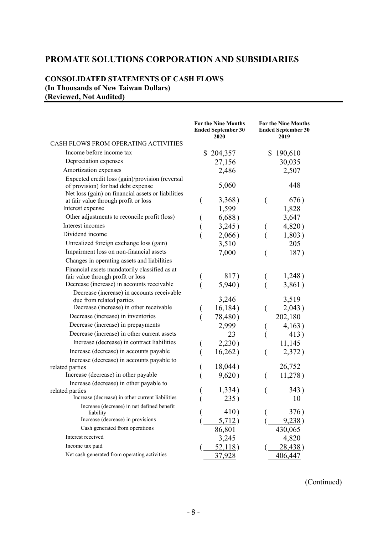### **CONSOLIDATED STATEMENTS OF CASH FLOWS (In Thousands of New Taiwan Dollars) (Reviewed, Not Audited)**

|                                                                                                                                             | <b>For the Nine Months</b><br><b>Ended September 30</b><br><b>2020</b> |                | <b>For the Nine Months</b><br><b>Ended September 30</b><br>2019 |
|---------------------------------------------------------------------------------------------------------------------------------------------|------------------------------------------------------------------------|----------------|-----------------------------------------------------------------|
| CASH FLOWS FROM OPERATING ACTIVITIES                                                                                                        |                                                                        |                |                                                                 |
| Income before income tax                                                                                                                    | \$204,357                                                              | $\mathbb{S}^-$ | 190,610                                                         |
| Depreciation expenses                                                                                                                       | 27,156                                                                 |                | 30,035                                                          |
| Amortization expenses                                                                                                                       | 2,486                                                                  |                | 2,507                                                           |
| Expected credit loss (gain)/provision (reversal<br>of provision) for bad debt expense<br>Net loss (gain) on financial assets or liabilities | 5,060                                                                  |                | 448                                                             |
| at fair value through profit or loss                                                                                                        | 3,368)                                                                 |                | 676)                                                            |
| Interest expense                                                                                                                            | 1,599                                                                  |                | 1,828                                                           |
| Other adjustments to reconcile profit (loss)                                                                                                | 6,688)                                                                 |                | 3,647                                                           |
| Interest incomes                                                                                                                            | 3,245)                                                                 |                | 4,820)                                                          |
| Dividend income                                                                                                                             | 2,066)                                                                 |                | 1,803)                                                          |
| Unrealized foreign exchange loss (gain)                                                                                                     | 3,510                                                                  |                | 205                                                             |
| Impairment loss on non-financial assets                                                                                                     | 7,000                                                                  |                | 187)                                                            |
| Changes in operating assets and liabilities                                                                                                 |                                                                        |                |                                                                 |
| Financial assets mandatorily classified as at<br>fair value through profit or loss<br>Decrease (increase) in accounts receivable            | 817)<br>5,940)                                                         |                | 1,248)<br>3,861)                                                |
| Decrease (increase) in accounts receivable                                                                                                  |                                                                        |                |                                                                 |
| due from related parties                                                                                                                    | 3,246                                                                  |                | 3,519                                                           |
| Decrease (increase) in other receivable                                                                                                     | 16,184)                                                                |                | 2,043)                                                          |
| Decrease (increase) in inventories                                                                                                          | 78,480)                                                                |                | 202,180                                                         |
| Decrease (increase) in prepayments                                                                                                          | 2,999                                                                  |                | 4,163)                                                          |
| Decrease (increase) in other current assets                                                                                                 | 23                                                                     |                | 413)                                                            |
| Increase (decrease) in contract liabilities                                                                                                 | 2,230)                                                                 |                | 11,145                                                          |
| Increase (decrease) in accounts payable                                                                                                     | 16,262)                                                                |                | 2,372)                                                          |
| Increase (decrease) in accounts payable to                                                                                                  |                                                                        |                |                                                                 |
| related parties                                                                                                                             | 18,044)                                                                |                | 26,752                                                          |
| Increase (decrease) in other payable                                                                                                        | 9,620)                                                                 |                | 11,278)                                                         |
| Increase (decrease) in other payable to                                                                                                     | 1,334)                                                                 |                | 343)                                                            |
| related parties<br>Increase (decrease) in other current liabilities                                                                         | 235)                                                                   |                | 10                                                              |
| Increase (decrease) in net defined benefit                                                                                                  |                                                                        |                |                                                                 |
| liability<br>Increase (decrease) in provisions                                                                                              | 410)                                                                   |                | 376)<br>9,238                                                   |
| Cash generated from operations                                                                                                              | 5,712)                                                                 |                |                                                                 |
| Interest received                                                                                                                           | 86,801                                                                 |                | 430,065                                                         |
| Income tax paid                                                                                                                             | 3,245                                                                  |                | 4,820                                                           |
| Net cash generated from operating activities                                                                                                | 52,118)                                                                |                | 28,438)                                                         |
|                                                                                                                                             | 37,928                                                                 |                | 406,447                                                         |

(Continued)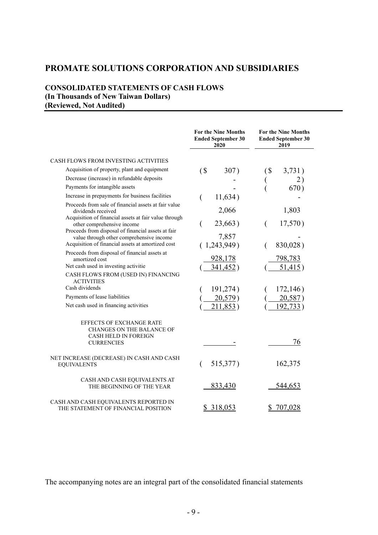# **CONSOLIDATED STATEMENTS OF CASH FLOWS (In Thousands of New Taiwan Dollars) (Reviewed, Not Audited)**

|                                                                                                    | <b>For the Nine Months</b><br><b>Ended September 30</b><br>2020 | <b>For the Nine Months</b><br><b>Ended September 30</b><br>2019 |
|----------------------------------------------------------------------------------------------------|-----------------------------------------------------------------|-----------------------------------------------------------------|
| <b>CASH FLOWS FROM INVESTING ACTIVITIES</b>                                                        |                                                                 |                                                                 |
| Acquisition of property, plant and equipment                                                       | $($ \$<br>307)                                                  | $($ \$<br>3,731)                                                |
| Decrease (increase) in refundable deposits                                                         |                                                                 | 2)                                                              |
| Payments for intangible assets                                                                     |                                                                 | 670)                                                            |
| Increase in prepayments for business facilities                                                    | 11,634)<br>€                                                    |                                                                 |
| Proceeds from sale of financial assets at fair value<br>dividends received                         | 2,066                                                           | 1,803                                                           |
| Acquisition of financial assets at fair value through<br>other comprehensive income                | 23,663)                                                         | 17,570)                                                         |
| Proceeds from disposal of financial assets at fair<br>value through other comprehensive income     | 7,857                                                           |                                                                 |
| Acquisition of financial assets at amortized cost                                                  | (1,243,949)                                                     | 830,028)                                                        |
| Proceeds from disposal of financial assets at<br>amortized cost                                    | 928,178                                                         | 798,783                                                         |
| Net cash used in investing activitie                                                               | 341,452)                                                        | 51,415)                                                         |
| CASH FLOWS FROM (USED IN) FINANCING<br><b>ACTIVITIES</b>                                           |                                                                 |                                                                 |
| Cash dividends                                                                                     | 191,274)                                                        | 172,146)                                                        |
| Payments of lease liabilities                                                                      | 20,579)                                                         | 20,587)                                                         |
| Net cash used in financing activities                                                              | 211,853)                                                        | <u>192,733</u> )                                                |
| <b>EFFECTS OF EXCHANGE RATE</b><br><b>CHANGES ON THE BALANCE OF</b><br><b>CASH HELD IN FOREIGN</b> |                                                                 |                                                                 |
| <b>CURRENCIES</b>                                                                                  |                                                                 | 76                                                              |
| NET INCREASE (DECREASE) IN CASH AND CASH<br><b>EQUIVALENTS</b>                                     | 515,377)                                                        | 162,375                                                         |
| CASH AND CASH EQUIVALENTS AT<br>THE BEGINNING OF THE YEAR                                          | 833,430                                                         | 544,653                                                         |
| CASH AND CASH EQUIVALENTS REPORTED IN<br>THE STATEMENT OF FINANCIAL POSITION                       | 318,053<br>S                                                    | 707,028                                                         |

The accompanying notes are an integral part of the consolidated financial statements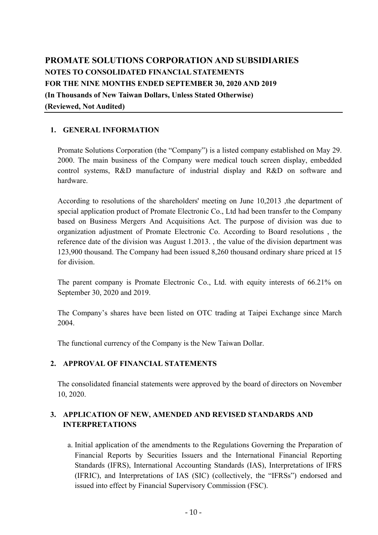# **PROMATE SOLUTIONS CORPORATION AND SUBSIDIARIES NOTES TO CONSOLIDATED FINANCIAL STATEMENTS FOR THE NINE MONTHS ENDED SEPTEMBER 30, 2020 AND 2019 (In Thousands of New Taiwan Dollars, Unless Stated Otherwise) (Reviewed, Not Audited)**

# **1. GENERAL INFORMATION**

Promate Solutions Corporation (the "Company") is a listed company established on May 29. 2000. The main business of the Company were medical touch screen display, embedded control systems, R&D manufacture of industrial display and R&D on software and hardware.

According to resolutions of the shareholders' meeting on June 10,2013, the department of special application product of Promate Electronic Co., Ltd had been transfer to the Company based on Business Mergers And Acquisitions Act. The purpose of division was due to organization adjustment of Promate Electronic Co. According to Board resolutions , the reference date of the division was August 1.2013. , the value of the division department was 123,900 thousand. The Company had been issued 8,260 thousand ordinary share priced at 15 for division.

The parent company is Promate Electronic Co., Ltd. with equity interests of 66.21% on September 30, 2020 and 2019.

The Company's shares have been listed on OTC trading at Taipei Exchange since March 2004.

The functional currency of the Company is the New Taiwan Dollar.

### **2. APPROVAL OF FINANCIAL STATEMENTS**

The consolidated financial statements were approved by the board of directors on November 10, 2020.

# **3. APPLICATION OF NEW, AMENDED AND REVISED STANDARDS AND INTERPRETATIONS**

a. Initial application of the amendments to the Regulations Governing the Preparation of Financial Reports by Securities Issuers and the International Financial Reporting Standards (IFRS), International Accounting Standards (IAS), Interpretations of IFRS (IFRIC), and Interpretations of IAS (SIC) (collectively, the "IFRSs") endorsed and issued into effect by Financial Supervisory Commission (FSC).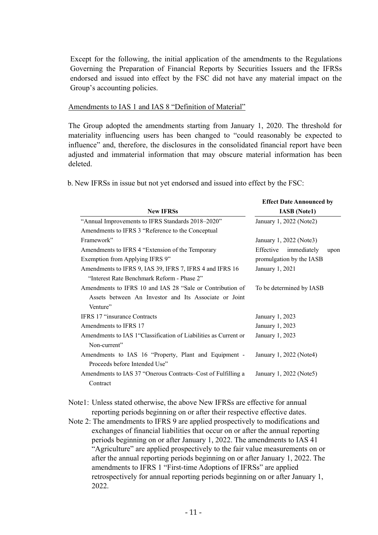Except for the following, the initial application of the amendments to the Regulations Governing the Preparation of Financial Reports by Securities Issuers and the IFRSs endorsed and issued into effect by the FSC did not have any material impact on the Group's accounting policies.

#### Amendments to IAS 1 and IAS 8 "Definition of Material"

The Group adopted the amendments starting from January 1, 2020. The threshold for materiality influencing users has been changed to "could reasonably be expected to influence" and, therefore, the disclosures in the consolidated financial report have been adjusted and immaterial information that may obscure material information has been deleted.

b. New IFRSs in issue but not yet endorsed and issued into effect by the FSC:

|                                                                  | <b>Effect Date Announced by</b>  |
|------------------------------------------------------------------|----------------------------------|
| <b>New IFRSs</b>                                                 | <b>IASB</b> (Note1)              |
| "Annual Improvements to IFRS Standards 2018-2020"                | January 1, 2022 (Note2)          |
| Amendments to IFRS 3 "Reference to the Conceptual                |                                  |
| Framework"                                                       | January 1, 2022 (Note3)          |
| Amendments to IFRS 4 "Extension of the Temporary                 | Effective<br>immediately<br>upon |
| Exemption from Applying IFRS 9"                                  | promulgation by the IASB         |
| Amendments to IFRS 9, IAS 39, IFRS 7, IFRS 4 and IFRS 16         | January 1, 2021                  |
| "Interest Rate Benchmark Reform - Phase 2"                       |                                  |
| Amendments to IFRS 10 and IAS 28 "Sale or Contribution of        | To be determined by IASB         |
| Assets between An Investor and Its Associate or Joint            |                                  |
| Venture"                                                         |                                  |
| <b>IFRS 17 "insurance Contracts"</b>                             | January 1, 2023                  |
| Amendments to IFRS 17                                            | January 1, 2023                  |
| Amendments to IAS 1 "Classification of Liabilities as Current or | January 1, 2023                  |
| Non-current"                                                     |                                  |
| Amendments to IAS 16 "Property, Plant and Equipment -            | January 1, 2022 (Note4)          |
| Proceeds before Intended Use"                                    |                                  |
| Amendments to IAS 37 "Onerous Contracts–Cost of Fulfilling a     | January 1, 2022 (Note5)          |
| Contract                                                         |                                  |
|                                                                  |                                  |

Note1: Unless stated otherwise, the above New IFRSs are effective for annual reporting periods beginning on or after their respective effective dates.

Note 2: The amendments to IFRS 9 are applied prospectively to modifications and exchanges of financial liabilities that occur on or after the annual reporting periods beginning on or after January 1, 2022. The amendments to IAS 41 "Agriculture" are applied prospectively to the fair value measurements on or after the annual reporting periods beginning on or after January 1, 2022. The amendments to IFRS 1 "First-time Adoptions of IFRSs" are applied retrospectively for annual reporting periods beginning on or after January 1, 2022.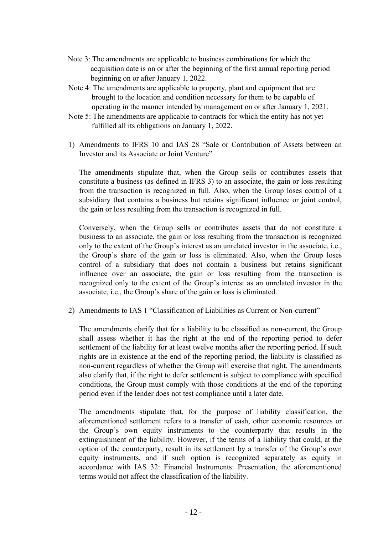- Note 3: The amendments are applicable to business combinations for which the acquisition date is on or after the beginning of the first annual reporting period beginning on or after January 1, 2022.
- Note 4: The amendments are applicable to property, plant and equipment that are brought to the location and condition necessary for them to be capable of operating in the manner intended by management on or after January 1, 2021.
- Note 5: The amendments are applicable to contracts for which the entity has not yet fulfilled all its obligations on January 1, 2022.
- 1) Amendments to IFRS 10 and IAS 28 "Sale or Contribution of Assets between an Investor and its Associate or Joint Venture"

The amendments stipulate that, when the Group sells or contributes assets that constitute a business (as defined in IFRS 3) to an associate, the gain or loss resulting from the transaction is recognized in full. Also, when the Group loses control of a subsidiary that contains a business but retains significant influence or joint control, the gain or loss resulting from the transaction is recognized in full.

Conversely, when the Group sells or contributes assets that do not constitute a business to an associate, the gain or loss resulting from the transaction is recognized only to the extent of the Group's interest as an unrelated investor in the associate, i.e., the Group's share of the gain or loss is eliminated. Also, when the Group loses control of a subsidiary that does not contain a business but retains significant influence over an associate, the gain or loss resulting from the transaction is recognized only to the extent of the Group's interest as an unrelated investor in the associate, i.e., the Group's share of the gain or loss is eliminated.

2) Amendments to IAS 1 "Classification of Liabilities as Current or Non-current"

The amendments clarify that for a liability to be classified as non-current, the Group shall assess whether it has the right at the end of the reporting period to defer settlement of the liability for at least twelve months after the reporting period. If such rights are in existence at the end of the reporting period, the liability is classified as non-current regardless of whether the Group will exercise that right. The amendments also clarify that, if the right to defer settlement is subject to compliance with specified conditions, the Group must comply with those conditions at the end of the reporting period even if the lender does not test compliance until a later date.

The amendments stipulate that, for the purpose of liability classification, the aforementioned settlement refers to a transfer of cash, other economic resources or the Group's own equity instruments to the counterparty that results in the extinguishment of the liability. However, if the terms of a liability that could, at the option of the counterparty, result in its settlement by a transfer of the Group's own equity instruments, and if such option is recognized separately as equity in accordance with IAS 32: Financial Instruments: Presentation, the aforementioned terms would not affect the classification of the liability.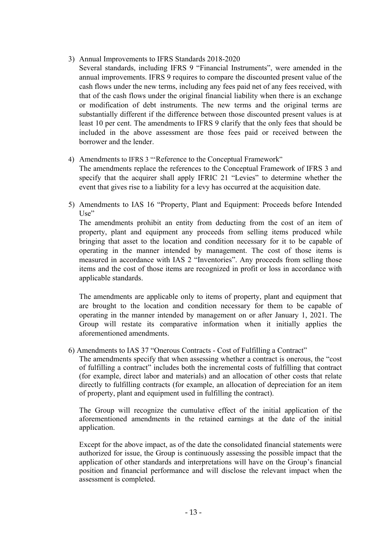- 3) Annual Improvements to IFRS Standards 2018-2020
- Several standards, including IFRS 9 "Financial Instruments", were amended in the annual improvements. IFRS 9 requires to compare the discounted present value of the cash flows under the new terms, including any fees paid net of any fees received, with that of the cash flows under the original financial liability when there is an exchange or modification of debt instruments. The new terms and the original terms are substantially different if the difference between those discounted present values is at least 10 per cent. The amendments to IFRS 9 clarify that the only fees that should be included in the above assessment are those fees paid or received between the borrower and the lender.
- 4) Amendments to IFRS 3 "'Reference to the Conceptual Framework"
	- The amendments replace the references to the Conceptual Framework of IFRS 3 and specify that the acquirer shall apply IFRIC 21 "Levies" to determine whether the event that gives rise to a liability for a levy has occurred at the acquisition date.
- 5) Amendments to IAS 16 "Property, Plant and Equipment: Proceeds before Intended Use"

The amendments prohibit an entity from deducting from the cost of an item of property, plant and equipment any proceeds from selling items produced while bringing that asset to the location and condition necessary for it to be capable of operating in the manner intended by management. The cost of those items is measured in accordance with IAS 2 "Inventories". Any proceeds from selling those items and the cost of those items are recognized in profit or loss in accordance with applicable standards.

The amendments are applicable only to items of property, plant and equipment that are brought to the location and condition necessary for them to be capable of operating in the manner intended by management on or after January 1, 2021. The Group will restate its comparative information when it initially applies the aforementioned amendments.

6) Amendments to IAS 37 "Onerous Contracts - Cost of Fulfilling a Contract"

The amendments specify that when assessing whether a contract is onerous, the "cost of fulfilling a contract" includes both the incremental costs of fulfilling that contract (for example, direct labor and materials) and an allocation of other costs that relate directly to fulfilling contracts (for example, an allocation of depreciation for an item of property, plant and equipment used in fulfilling the contract).

The Group will recognize the cumulative effect of the initial application of the aforementioned amendments in the retained earnings at the date of the initial application.

Except for the above impact, as of the date the consolidated financial statements were authorized for issue, the Group is continuously assessing the possible impact that the application of other standards and interpretations will have on the Group's financial position and financial performance and will disclose the relevant impact when the assessment is completed.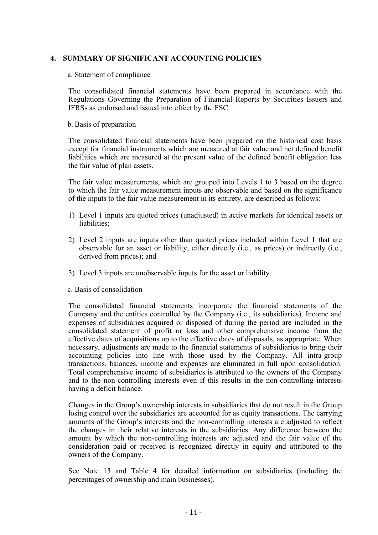### **4. SUMMARY OF SIGNIFICANT ACCOUNTING POLICIES**

#### a. Statement of compliance

The consolidated financial statements have been prepared in accordance with the Regulations Governing the Preparation of Financial Reports by Securities Issuers and IFRSs as endorsed and issued into effect by the FSC.

#### b. Basis of preparation

The consolidated financial statements have been prepared on the historical cost basis except for financial instruments which are measured at fair value and net defined benefit liabilities which are measured at the present value of the defined benefit obligation less the fair value of plan assets.

The fair value measurements, which are grouped into Levels 1 to 3 based on the degree to which the fair value measurement inputs are observable and based on the significance of the inputs to the fair value measurement in its entirety, are described as follows:

- 1) Level 1 inputs are quoted prices (unadjusted) in active markets for identical assets or liabilities;
- 2) Level 2 inputs are inputs other than quoted prices included within Level 1 that are observable for an asset or liability, either directly (i.e., as prices) or indirectly (i.e., derived from prices); and
- 3) Level 3 inputs are unobservable inputs for the asset or liability.

#### c. Basis of consolidation

The consolidated financial statements incorporate the financial statements of the Company and the entities controlled by the Company (i.e., its subsidiaries). Income and expenses of subsidiaries acquired or disposed of during the period are included in the consolidated statement of profit or loss and other comprehensive income from the effective dates of acquisitions up to the effective dates of disposals, as appropriate. When necessary, adjustments are made to the financial statements of subsidiaries to bring their accounting policies into line with those used by the Company. All intra-group transactions, balances, income and expenses are eliminated in full upon consolidation. Total comprehensive income of subsidiaries is attributed to the owners of the Company and to the non-controlling interests even if this results in the non-controlling interests having a deficit balance.

Changes in the Group's ownership interests in subsidiaries that do not result in the Group losing control over the subsidiaries are accounted for as equity transactions. The carrying amounts of the Group's interests and the non-controlling interests are adjusted to reflect the changes in their relative interests in the subsidiaries. Any difference between the amount by which the non-controlling interests are adjusted and the fair value of the consideration paid or received is recognized directly in equity and attributed to the owners of the Company.

See Note 13 and Table 4 for detailed information on subsidiaries (including the percentages of ownership and main businesses).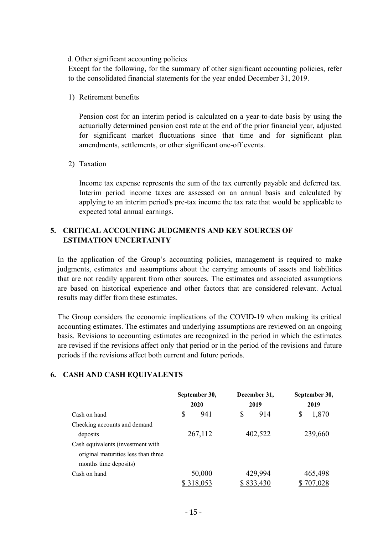#### d. Other significant accounting policies

Except for the following, for the summary of other significant accounting policies, refer to the consolidated financial statements for the year ended December 31, 2019.

1) Retirement benefits

Pension cost for an interim period is calculated on a year-to-date basis by using the actuarially determined pension cost rate at the end of the prior financial year, adjusted for significant market fluctuations since that time and for significant plan amendments, settlements, or other significant one-off events.

2) Taxation

Income tax expense represents the sum of the tax currently payable and deferred tax. Interim period income taxes are assessed on an annual basis and calculated by applying to an interim period's pre-tax income the tax rate that would be applicable to expected total annual earnings.

### **5. CRITICAL ACCOUNTING JUDGMENTS AND KEY SOURCES OF ESTIMATION UNCERTAINTY**

In the application of the Group's accounting policies, management is required to make judgments, estimates and assumptions about the carrying amounts of assets and liabilities that are not readily apparent from other sources. The estimates and associated assumptions are based on historical experience and other factors that are considered relevant. Actual results may differ from these estimates.

The Group considers the economic implications of the COVID-19 when making its critical accounting estimates. The estimates and underlying assumptions are reviewed on an ongoing basis. Revisions to accounting estimates are recognized in the period in which the estimates are revised if the revisions affect only that period or in the period of the revisions and future periods if the revisions affect both current and future periods.

### **6. CASH AND CASH EQUIVALENTS**

|                                     | September 30, |         |         | December 31, | September 30,<br>2019 |         |  |
|-------------------------------------|---------------|---------|---------|--------------|-----------------------|---------|--|
|                                     | 2020          |         |         | 2019         |                       |         |  |
| Cash on hand                        | \$            | 941     | \$      | 914          | \$                    | 1,870   |  |
| Checking accounts and demand        |               |         |         |              |                       |         |  |
| deposits                            | 267,112       |         | 402,522 |              | 239,660               |         |  |
| Cash equivalents (investment with   |               |         |         |              |                       |         |  |
| original maturities less than three |               |         |         |              |                       |         |  |
| months time deposits)               |               |         |         |              |                       |         |  |
| Cash on hand                        |               | 50,000  |         | 429,994      |                       | 465,498 |  |
|                                     |               | 318,053 |         | 833,430      |                       | 707,028 |  |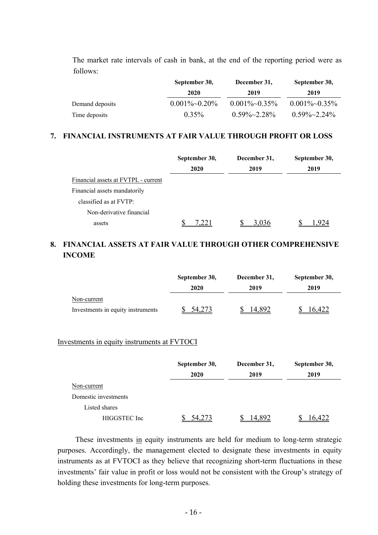The market rate intervals of cash in bank, at the end of the reporting period were as follows:

|                 | September 30,    | December 31,         | September 30,        |
|-----------------|------------------|----------------------|----------------------|
|                 | 2020             | 2019                 | 2019                 |
| Demand deposits | $0.001\%~0.20\%$ | $0.001\%~0.35\%$     | $0.001\%~0.35\%$     |
| Time deposits   | $0.35\%$         | $0.59\% \sim 2.28\%$ | $0.59\% \sim 2.24\%$ |

### **7. FINANCIAL INSTRUMENTS AT FAIR VALUE THROUGH PROFIT OR LOSS**

|                                     | September 30, | December 31, | September 30, |
|-------------------------------------|---------------|--------------|---------------|
|                                     | 2020          | 2019         | 2019          |
| Financial assets at FVTPL - current |               |              |               |
| Financial assets mandatorily        |               |              |               |
| classified as at FVTP:              |               |              |               |
| Non-derivative financial            |               |              |               |
| assets                              |               | 3.036        |               |

# **8. FINANCIAL ASSETS AT FAIR VALUE THROUGH OTHER COMPREHENSIVE INCOME**

|                                   | September 30, | December 31, | September 30, |  |
|-----------------------------------|---------------|--------------|---------------|--|
|                                   | 2020          | 2019         | 2019          |  |
| Non-current                       |               |              |               |  |
| Investments in equity instruments |               | 4.892        | 6,422         |  |

#### Investments in equity instruments at FVTOCI

|                      | September 30, | December 31, | September 30, |  |
|----------------------|---------------|--------------|---------------|--|
|                      | 2020          | 2019         | 2019          |  |
| Non-current          |               |              |               |  |
| Domestic investments |               |              |               |  |
| Listed shares        |               |              |               |  |
| HIGGSTEC Inc         | 54,273        | 14.892       | .422          |  |

These investments in equity instruments are held for medium to long-term strategic purposes. Accordingly, the management elected to designate these investments in equity instruments as at FVTOCI as they believe that recognizing short-term fluctuations in these investments' fair value in profit or loss would not be consistent with the Group's strategy of holding these investments for long-term purposes.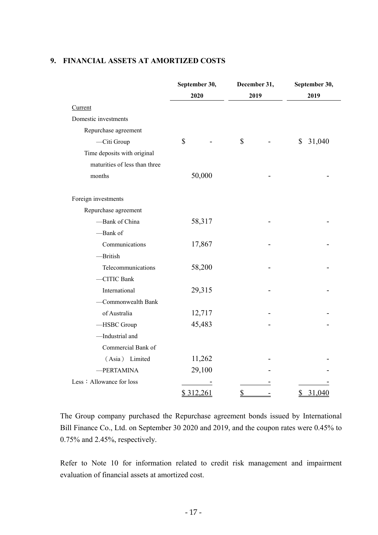# **9. FINANCIAL ASSETS AT AMORTIZED COSTS**

|                               | September 30, | December 31, | September 30, |
|-------------------------------|---------------|--------------|---------------|
|                               | 2020          | 2019         | 2019          |
| Current                       |               |              |               |
| Domestic investments          |               |              |               |
| Repurchase agreement          |               |              |               |
| -Citi Group                   | $\mathbb{S}$  | \$           | 31,040<br>\$  |
| Time deposits with original   |               |              |               |
| maturities of less than three |               |              |               |
| months                        | 50,000        |              |               |
| Foreign investments           |               |              |               |
| Repurchase agreement          |               |              |               |
| -Bank of China                | 58,317        |              |               |
| -Bank of                      |               |              |               |
| Communications                | 17,867        |              |               |
| -British                      |               |              |               |
| Telecommunications            | 58,200        |              |               |
| -CITIC Bank                   |               |              |               |
| International                 | 29,315        |              |               |
| -Commonwealth Bank            |               |              |               |
| of Australia                  | 12,717        |              |               |
| -HSBC Group                   | 45,483        |              |               |
| -Industrial and               |               |              |               |
| Commercial Bank of            |               |              |               |
| (Asia) Limited                | 11,262        |              |               |
| -PERTAMINA                    | 29,100        |              |               |
| Less: Allowance for loss      |               |              |               |
|                               | \$312,261     | \$           | 31,040<br>S.  |

The Group company purchased the Repurchase agreement bonds issued by International Bill Finance Co., Ltd. on September 30 2020 and 2019, and the coupon rates were 0.45% to 0.75% and 2.45%, respectively.

Refer to Note 10 for information related to credit risk management and impairment evaluation of financial assets at amortized cost.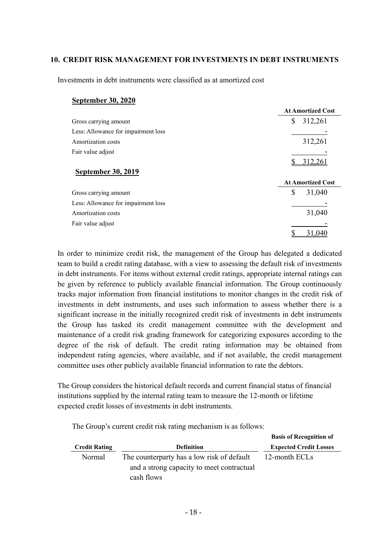### **10. CREDIT RISK MANAGEMENT FOR INVESTMENTS IN DEBT INSTRUMENTS**

Investments in debt instruments were classified as at amortized cost

#### **September 30, 2020**

|                                     | <b>At Amortized Cost</b> |
|-------------------------------------|--------------------------|
| Gross carrying amount               | \$<br>312,261            |
| Less: Allowance for impairment loss |                          |
| Amortization costs                  | 312,261                  |
| Fair value adjust                   |                          |
|                                     |                          |
| <b>September 30, 2019</b>           |                          |
|                                     | <b>At Amortized Cost</b> |
| Gross carrying amount               | \$<br>31,040             |
| Less: Allowance for impairment loss |                          |
| Amortization costs                  | 31,040                   |
| Fair value adjust                   |                          |
|                                     | 31,040                   |

In order to minimize credit risk, the management of the Group has delegated a dedicated team to build a credit rating database, with a view to assessing the default risk of investments in debt instruments. For items without external credit ratings, appropriate internal ratings can be given by reference to publicly available financial information. The Group continuously tracks major information from financial institutions to monitor changes in the credit risk of investments in debt instruments, and uses such information to assess whether there is a significant increase in the initially recognized credit risk of investments in debt instruments the Group has tasked its credit management committee with the development and maintenance of a credit risk grading framework for categorizing exposures according to the degree of the risk of default. The credit rating information may be obtained from independent rating agencies, where available, and if not available, the credit management committee uses other publicly available financial information to rate the debtors.

The Group considers the historical default records and current financial status of financial institutions supplied by the internal rating team to measure the 12-month or lifetime expected credit losses of investments in debt instruments.

The Group's current credit risk rating mechanism is as follows:

|                      |                                            | <b>Basis of Recognition of</b> |
|----------------------|--------------------------------------------|--------------------------------|
| <b>Credit Rating</b> | <b>Definition</b>                          | <b>Expected Credit Losses</b>  |
| Normal               | The counterparty has a low risk of default | 12-month ECLs                  |
|                      | and a strong capacity to meet contractual  |                                |
|                      | cash flows                                 |                                |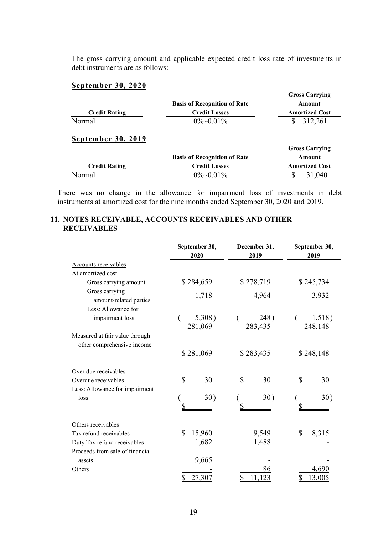The gross carrying amount and applicable expected credit loss rate of investments in debt instruments are as follows:

# **September 30, 2020**

| <b>Credit Rating</b> | <b>Basis of Recognition of Rate</b><br><b>Credit Losses</b> | <b>Gross Carrying</b><br>Amount<br><b>Amortized Cost</b> |
|----------------------|-------------------------------------------------------------|----------------------------------------------------------|
| Normal               | $0\%$ ~0.01%                                                |                                                          |
| September 30, 2019   |                                                             | <b>Gross Carrying</b>                                    |
|                      | <b>Basis of Recognition of Rate</b>                         | Amount                                                   |
| <b>Credit Rating</b> | <b>Credit Losses</b>                                        | <b>Amortized Cost</b>                                    |
| Normal               | $0\%$ ~0.01%                                                | 31,040                                                   |

There was no change in the allowance for impairment loss of investments in debt instruments at amortized cost for the nine months ended September 30, 2020 and 2019.

# **11. NOTES RECEIVABLE, ACCOUNTS RECEIVABLES AND OTHER RECEIVABLES**

|                                          | September 30,     | December 31,               | September 30,       |
|------------------------------------------|-------------------|----------------------------|---------------------|
|                                          | 2020              | 2019                       | 2019                |
| Accounts receivables                     |                   |                            |                     |
| At amortized cost                        |                   |                            |                     |
| Gross carrying amount                    | \$284,659         | \$278,719                  | \$245,734           |
| Gross carrying<br>amount-related parties | 1,718             | 4,964                      | 3,932               |
| Less: Allowance for                      |                   |                            |                     |
| impairment loss                          | 5,308)<br>281,069 | $\frac{248}{ }$<br>283,435 | 1,518)<br>248,148   |
| Measured at fair value through           |                   |                            |                     |
| other comprehensive income               | \$281,069         | \$283,435                  | \$248,148           |
| Over due receivables                     |                   |                            |                     |
| Overdue receivables                      | \$<br>30          | \$<br>30                   | $\mathcal{S}$<br>30 |
| Less: Allowance for impairment           |                   |                            |                     |
| loss                                     | 30)               | 30)                        | 30)                 |
|                                          | \$                | $\mathbf S$                | \$                  |
| Others receivables                       |                   |                            |                     |
| Tax refund receivables                   | \$<br>15,960      | 9,549                      | \$<br>8,315         |
| Duty Tax refund receivables              | 1,682             | 1,488                      |                     |
| Proceeds from sale of financial          |                   |                            |                     |
| assets                                   | 9,665             |                            |                     |
| Others                                   |                   | 86                         | 4,690               |
|                                          | 27,307            | 23                         | \$<br>13,005        |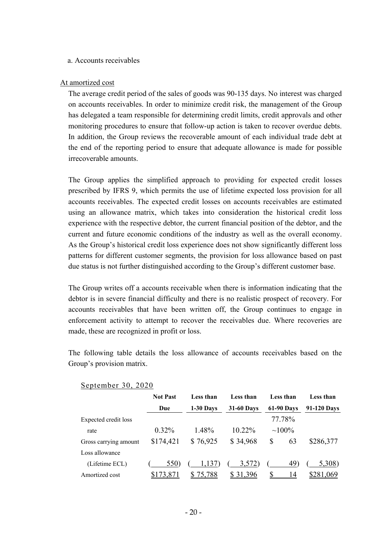#### a. Accounts receivables

#### At amortized cost

The average credit period of the sales of goods was 90-135 days. No interest was charged on accounts receivables. In order to minimize credit risk, the management of the Group has delegated a team responsible for determining credit limits, credit approvals and other monitoring procedures to ensure that follow-up action is taken to recover overdue debts. In addition, the Group reviews the recoverable amount of each individual trade debt at the end of the reporting period to ensure that adequate allowance is made for possible irrecoverable amounts.

The Group applies the simplified approach to providing for expected credit losses prescribed by IFRS 9, which permits the use of lifetime expected loss provision for all accounts receivables. The expected credit losses on accounts receivables are estimated using an allowance matrix, which takes into consideration the historical credit loss experience with the respective debtor, the current financial position of the debtor, and the current and future economic conditions of the industry as well as the overall economy. As the Group's historical credit loss experience does not show significantly different loss patterns for different customer segments, the provision for loss allowance based on past due status is not further distinguished according to the Group's different customer base.

The Group writes off a accounts receivable when there is information indicating that the debtor is in severe financial difficulty and there is no realistic prospect of recovery. For accounts receivables that have been written off, the Group continues to engage in enforcement activity to attempt to recover the receivables due. Where recoveries are made, these are recognized in profit or loss.

The following table details the loss allowance of accounts receivables based on the Group's provision matrix.

|                       | <b>Not Past</b> | Less than   | Less than         | Less than         | Less than       |
|-----------------------|-----------------|-------------|-------------------|-------------------|-----------------|
|                       | Due             | $1-30$ Days | <b>31-60 Days</b> | <b>61-90 Days</b> | 91-120 Days     |
| Expected credit loss  |                 |             |                   | 77.78%            |                 |
| rate                  | $0.32\%$        | 1.48%       | $10.22\%$         | $\sim 100\%$      |                 |
| Gross carrying amount | \$174,421       | \$76,925    | \$34,968          | 63<br>\$          | \$286,377       |
| Loss allowance        |                 |             |                   |                   |                 |
| (Lifetime ECL)        | 550)            | 1,137)      | 3,572)            | 49)               | 5,308)          |
| Amortized cost        | \$173,871       | S<br>75,788 | 31,396<br>\$      |                   | \$281,069<br>14 |

#### September 30, 2020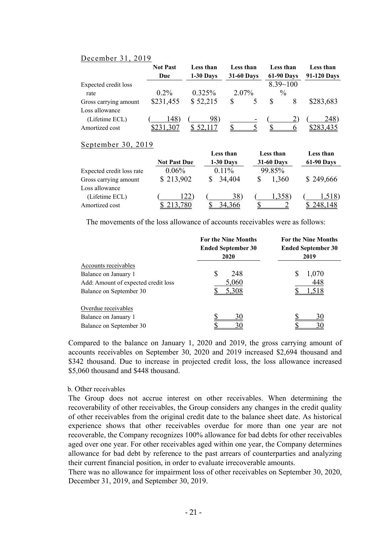#### December 31, 2019

|                       | <b>Not Past</b><br>Due | Less than<br>$1-30$ Days | Less than<br><b>31-60 Days</b> |                | Less than<br><b>61-90 Days</b> |  | Less than<br>91-120 Days |
|-----------------------|------------------------|--------------------------|--------------------------------|----------------|--------------------------------|--|--------------------------|
|                       |                        |                          |                                |                | $8.39 - 100$                   |  |                          |
| Expected credit loss  |                        |                          |                                |                |                                |  |                          |
| rate                  | $0.2\%$                | $0.325\%$                | 2.07%                          |                | $\frac{0}{0}$                  |  |                          |
| Gross carrying amount | \$231,455              | \$52,215                 | S                              |                |                                |  | \$283,683                |
| Loss allowance        |                        |                          |                                |                |                                |  |                          |
| (Lifetime ECL)        | 148)                   | 98)                      |                                | $\blacksquare$ |                                |  | 248)                     |
| Amortized cost        | .307                   |                          |                                |                |                                |  |                          |

#### September 30, 2019

|                           |                     | Less than   | Less than         | Less than         |
|---------------------------|---------------------|-------------|-------------------|-------------------|
|                           | <b>Not Past Due</b> | $1-30$ Days | <b>31-60 Days</b> | <b>61-90 Days</b> |
| Expected credit loss rate | $0.06\%$            | $0.11\%$    | 99.85%            |                   |
| Gross carrying amount     | \$213,902           | 34,404      | 1,360             | \$249,666         |
| Loss allowance            |                     |             |                   |                   |
| (Lifetime ECL)            | 1221                | 38          | 1,358)            | 1,518)            |
| Amortized cost            | 780                 | 34.366      |                   |                   |

The movements of the loss allowance of accounts receivables were as follows:

|                                     | <b>For the Nine Months</b><br><b>Ended September 30</b><br>2020 | <b>For the Nine Months</b><br><b>Ended September 30</b><br>2019 |  |  |
|-------------------------------------|-----------------------------------------------------------------|-----------------------------------------------------------------|--|--|
| Accounts receivables                |                                                                 |                                                                 |  |  |
| Balance on January 1                | \$<br>248                                                       | \$<br>1,070                                                     |  |  |
| Add: Amount of expected credit loss | 5,060                                                           | 448                                                             |  |  |
| Balance on September 30             | 5,308                                                           | 1,518                                                           |  |  |
| Overdue receivables                 |                                                                 |                                                                 |  |  |
| Balance on January 1                | 30                                                              | 30                                                              |  |  |
| Balance on September 30             | 30                                                              | 30                                                              |  |  |

Compared to the balance on January 1, 2020 and 2019, the gross carrying amount of accounts receivables on September 30, 2020 and 2019 increased \$2,694 thousand and \$342 thousand. Due to increase in projected credit loss, the loss allowance increased \$5,060 thousand and \$448 thousand.

#### b. Other receivables

The Group does not accrue interest on other receivables. When determining the recoverability of other receivables, the Group considers any changes in the credit quality of other receivables from the original credit date to the balance sheet date. As historical experience shows that other receivables overdue for more than one year are not recoverable, the Company recognizes 100% allowance for bad debts for other receivables aged over one year. For other receivables aged within one year, the Company determines allowance for bad debt by reference to the past arrears of counterparties and analyzing their current financial position, in order to evaluate irrecoverable amounts.

There was no allowance for impairment loss of other receivables on September 30, 2020, December 31, 2019, and September 30, 2019.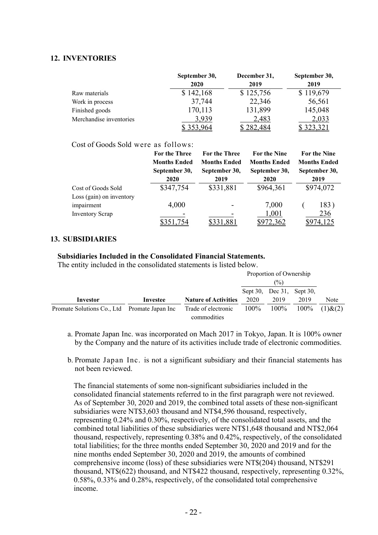### **12. INVENTORIES**

|                         | September 30, | December 31, | September 30, |
|-------------------------|---------------|--------------|---------------|
|                         | 2020          | 2019         | 2019          |
| Raw materials           | \$142,168     | \$125,756    | \$119,679     |
| Work in process         | 37,744        | 22,346       | 56,561        |
| Finished goods          | 170,113       | 131,899      | 145,048       |
| Merchandise inventories | 3.939         | 2,483        | 2,033         |
|                         |               | 282.         |               |

#### Cost of Goods Sold were as follows:

|                          | For the Three       | For the Three       | For the Nine        | <b>For the Nine</b> |
|--------------------------|---------------------|---------------------|---------------------|---------------------|
|                          | <b>Months Ended</b> | <b>Months Ended</b> | <b>Months Ended</b> | <b>Months Ended</b> |
|                          | September 30,       | September 30,       | September 30,       | September 30,       |
|                          | 2020                | 2019                | 2020                | 2019                |
| Cost of Goods Sold       | \$347,754           | \$331,881           | \$964,361           | \$974,072           |
| Loss (gain) on inventory |                     |                     |                     |                     |
| impairment               | 4,000               |                     | 7,000               | 183)                |
| <b>Inventory Scrap</b>   |                     |                     | 1,001               | 236                 |
|                          |                     |                     | 72,362              | <u>4,125</u>        |

#### **13. SUBSIDIARIES**

#### **Subsidiaries Included in the Consolidated Financial Statements.**

The entity included in the consolidated statements is listed below.

|                                              |          |                                    | Proportion of Ownership |                           |         |               |
|----------------------------------------------|----------|------------------------------------|-------------------------|---------------------------|---------|---------------|
|                                              |          |                                    | (%)                     |                           |         |               |
|                                              |          |                                    |                         | Sept 30, Dec 31, Sept 30, |         |               |
| Investor                                     | Investee | <b>Nature of Activities</b>        | 2020                    | 2019                      | 2019    | Note          |
| Promate Solutions Co., Ltd Promate Japan Inc |          | Trade of electronic<br>commodities | 100%                    | $100\%$                   | $100\%$ | $(1)$ & $(2)$ |

- a. Promate Japan Inc. was incorporated on Mach 2017 in Tokyo, Japan. It is 100% owner by the Company and the nature of its activities include trade of electronic commodities.
- b. Promate Japan Inc. is not a significant subsidiary and their financial statements has not been reviewed.

The financial statements of some non-significant subsidiaries included in the consolidated financial statements referred to in the first paragraph were not reviewed. As of September 30, 2020 and 2019, the combined total assets of these non-significant subsidiaries were NT\$3,603 thousand and NT\$4,596 thousand, respectively, representing 0.24% and 0.30%, respectively, of the consolidated total assets, and the combined total liabilities of these subsidiaries were NT\$1,648 thousand and NT\$2,064 thousand, respectively, representing 0.38% and 0.42%, respectively, of the consolidated total liabilities; for the three months ended September 30, 2020 and 2019 and for the nine months ended September 30, 2020 and 2019, the amounts of combined comprehensive income (loss) of these subsidiaries were NT\$(204) thousand, NT\$291 thousand, NT\$(622) thousand, and NT\$422 thousand, respectively, representing 0.32%, 0.58%, 0.33% and 0.28%, respectively, of the consolidated total comprehensive income.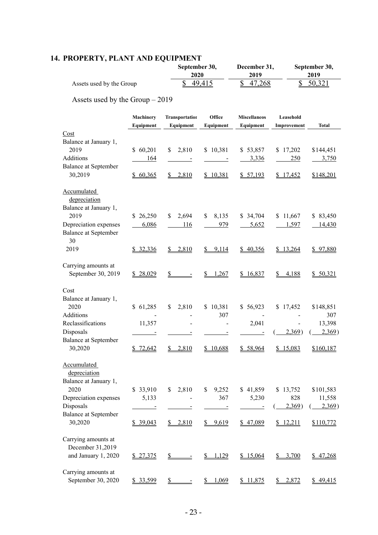# **14. PROPERTY, PLANT AND EQUIPMENT**

|                          | September 30, | December 31, | September 30, |
|--------------------------|---------------|--------------|---------------|
|                          | 2020          | 2019         | 2019          |
| Assets used by the Group | 49,415        | 47,268       | \$50,321      |

Assets used by the Group – 2019

|                                                      | Machinery<br>Equipment | Transportation<br>Equipment              | Office<br>Equipment | <b>Miscellaneos</b><br>Equipment | Leasehold<br>Improvement | Total         |
|------------------------------------------------------|------------------------|------------------------------------------|---------------------|----------------------------------|--------------------------|---------------|
| Cost<br>Balance at January 1,                        |                        |                                          |                     |                                  |                          |               |
| 2019                                                 | \$60,201               | 2,810<br>\$                              | \$10,381            | \$53,857                         | \$17,202                 | \$144,451     |
| Additions                                            | 164                    |                                          |                     | 3,336                            | 250                      | 3,750         |
| <b>Balance at September</b>                          |                        |                                          |                     |                                  |                          |               |
| 30,2019                                              | \$60,365               | 2,810<br>$\frac{\mathbb{S}}{\mathbb{S}}$ | \$10,381            | \$ 57,193                        | \$17,452                 | \$148,201     |
| Accumulated<br>depreciation<br>Balance at January 1, |                        |                                          |                     |                                  |                          |               |
| 2019                                                 | \$26,250               | 2,694<br>\$                              | \$<br>8,135         | \$ 34,704                        | \$11,667                 | \$83,450      |
| Depreciation expenses                                | 6,086                  | 116                                      | 979                 | 5,652                            | 1,597                    | <u>14,430</u> |
| <b>Balance at September</b><br>30                    |                        |                                          |                     |                                  |                          |               |
| 2019                                                 | \$32,336               | \$2,810                                  | \$9,114             | \$40,356                         | \$13,264                 | \$97,880      |
| Carrying amounts at                                  |                        |                                          |                     |                                  |                          |               |
| September 30, 2019                                   | \$28,029               | \$                                       | 1,267<br><u>s</u>   | \$16,837                         | 4,188<br><u>s_</u>       | \$50,321      |
| Cost                                                 |                        |                                          |                     |                                  |                          |               |
| Balance at January 1,                                |                        |                                          |                     |                                  |                          |               |
| 2020                                                 | \$61,285               | 2,810<br>\$                              | \$10,381            | \$56,923                         | \$17,452                 | \$148,851     |
| Additions                                            |                        |                                          | 307                 |                                  |                          | 307           |
| Reclassifications                                    | 11,357                 |                                          |                     | 2,041                            |                          | 13,398        |
| Disposals                                            |                        |                                          |                     |                                  | 2,369)                   | 2,369)        |
| <b>Balance at September</b>                          |                        |                                          |                     |                                  |                          |               |
| 30,2020                                              | \$72,642               | \$2,810                                  | \$10,688            | \$58,964                         | \$15,083                 | \$160,187     |
| Accumulated<br>depreciation                          |                        |                                          |                     |                                  |                          |               |
| Balance at January 1,<br>2020                        |                        |                                          |                     |                                  |                          |               |
|                                                      | \$33,910               | 2,810<br>S.                              | \$<br>9,252<br>367  | \$41,859<br>5,230                | \$13,752<br>828          | \$101,583     |
| Depreciation expenses<br>Disposals                   | 5,133                  |                                          |                     |                                  | 2,369)                   | 11,558        |
| <b>Balance at September</b>                          |                        |                                          |                     |                                  |                          | 2,369)        |
| 30,2020                                              | \$39,043               | \$2,810                                  | \$9,619             | \$47,089                         | \$12,211                 | \$110,772     |
| Carrying amounts at                                  |                        |                                          |                     |                                  |                          |               |
| December 31,2019                                     |                        |                                          |                     |                                  |                          |               |
| and January 1, 2020                                  | \$ 27,375              | \$                                       | 1,129<br>S.         | \$15,064                         | \$3,700                  | \$ 47,268     |
| Carrying amounts at                                  |                        |                                          |                     |                                  |                          |               |
| September 30, 2020                                   | \$ 33,599              | $\mathbb{S}$                             | 1,069<br>S.         | \$11,875                         | \$2,872                  | \$49,415      |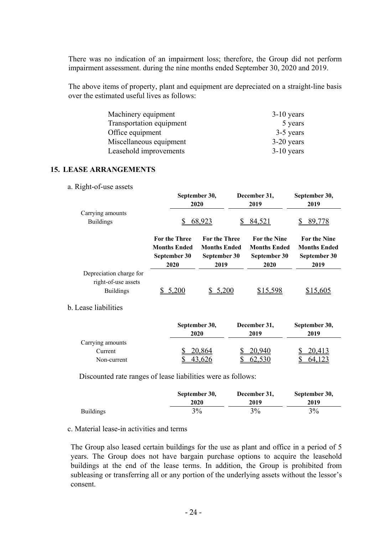There was no indication of an impairment loss; therefore, the Group did not perform impairment assessment. during the nine months ended September 30, 2020 and 2019.

The above items of property, plant and equipment are depreciated on a straight-line basis over the estimated useful lives as follows:

| Machinery equipment      | $3-10$ years |
|--------------------------|--------------|
| Transportation equipment | 5 years      |
| Office equipment         | 3-5 years    |
| Miscellaneous equipment  | $3-20$ years |
| Leasehold improvements   | $3-10$ years |

#### **15. LEASE ARRANGEMENTS**

a. Right-of-use assets

|                                                                    |                                                                     | September 30,<br>2020                                               | December 31,<br>2019                                               | September 30,<br>2019                                              |
|--------------------------------------------------------------------|---------------------------------------------------------------------|---------------------------------------------------------------------|--------------------------------------------------------------------|--------------------------------------------------------------------|
| Carrying amounts<br><b>Buildings</b>                               |                                                                     | 68,923                                                              | 84,521                                                             | 89,778                                                             |
|                                                                    | <b>For the Three</b><br><b>Months Ended</b><br>September 30<br>2020 | <b>For the Three</b><br><b>Months Ended</b><br>September 30<br>2019 | <b>For the Nine</b><br><b>Months Ended</b><br>September 30<br>2020 | <b>For the Nine</b><br><b>Months Ended</b><br>September 30<br>2019 |
| Depreciation charge for<br>right-of-use assets<br><b>Buildings</b> | 5,200                                                               | 5.200                                                               | \$15,598                                                           | \$15,605                                                           |

#### b. Lease liabilities

|                  | September 30, | December 31, | September 30, |
|------------------|---------------|--------------|---------------|
|                  | 2020          | 2019         | 2019          |
| Carrying amounts |               |              |               |
| Current          | 20,864        | 20,940       | <u>20,413</u> |
| Non-current      |               |              | h4            |

Discounted rate ranges of lease liabilities were as follows:

|                  | September 30, | December 31, | September 30, |
|------------------|---------------|--------------|---------------|
|                  | 2020          | 2019         | 2019          |
| <b>Buildings</b> | 3%            | 3%           | 3%            |

### c. Material lease-in activities and terms

The Group also leased certain buildings for the use as plant and office in a period of 5 years. The Group does not have bargain purchase options to acquire the leasehold buildings at the end of the lease terms. In addition, the Group is prohibited from subleasing or transferring all or any portion of the underlying assets without the lessor's consent.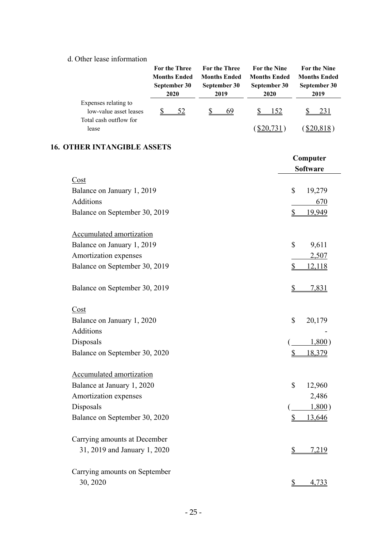# d. Other lease information

|                                                | For the Three<br><b>Months Ended</b><br>September 30<br>2020 | <b>For the Three</b><br><b>Months Ended</b><br>September 30<br>2019 | <b>For the Nine</b><br><b>Months Ended</b><br>September 30<br>2020 | <b>For the Nine</b><br><b>Months Ended</b><br>September 30<br>2019 |
|------------------------------------------------|--------------------------------------------------------------|---------------------------------------------------------------------|--------------------------------------------------------------------|--------------------------------------------------------------------|
| Expenses relating to<br>low-value asset leases | <u>52</u>                                                    | 69<br>$\mathbb{S}$                                                  | <u>152</u><br>$\mathbb{S}$                                         | <u>231</u>                                                         |
| Total cash outflow for                         |                                                              |                                                                     |                                                                    |                                                                    |
| lease                                          |                                                              |                                                                     | $(\frac{$20,731}{})$                                               | $(\frac{$20,818}{$ )                                               |
| <b>16. OTHER INTANGIBLE ASSETS</b>             |                                                              |                                                                     |                                                                    |                                                                    |
|                                                |                                                              |                                                                     |                                                                    | Computer                                                           |
|                                                |                                                              |                                                                     |                                                                    | <b>Software</b>                                                    |
| Cost                                           |                                                              |                                                                     |                                                                    |                                                                    |
| Balance on January 1, 2019                     |                                                              |                                                                     | \$                                                                 | 19,279                                                             |
| Additions                                      |                                                              |                                                                     |                                                                    | 670                                                                |
| Balance on September 30, 2019                  |                                                              |                                                                     | \$                                                                 | 19,949                                                             |
| <b>Accumulated amortization</b>                |                                                              |                                                                     |                                                                    |                                                                    |
| Balance on January 1, 2019                     |                                                              |                                                                     | \$                                                                 | 9,611                                                              |
| Amortization expenses                          |                                                              |                                                                     |                                                                    | 2,507                                                              |
| Balance on September 30, 2019                  |                                                              |                                                                     | \$                                                                 | 12,118                                                             |
|                                                |                                                              |                                                                     |                                                                    |                                                                    |
| Balance on September 30, 2019                  |                                                              |                                                                     | $\mathbb{S}$                                                       | 7,831                                                              |
| Cost                                           |                                                              |                                                                     |                                                                    |                                                                    |
| Balance on January 1, 2020                     |                                                              |                                                                     | \$                                                                 | 20,179                                                             |
| Additions                                      |                                                              |                                                                     |                                                                    |                                                                    |
| Disposals                                      |                                                              |                                                                     |                                                                    | 1,800                                                              |
| Balance on September 30, 2020                  |                                                              |                                                                     | \$                                                                 | <u>18,379</u>                                                      |
| Accumulated amortization                       |                                                              |                                                                     |                                                                    |                                                                    |
| Balance at January 1, 2020                     |                                                              |                                                                     | \$                                                                 | 12,960                                                             |
| Amortization expenses                          |                                                              |                                                                     |                                                                    | 2,486                                                              |
| Disposals                                      |                                                              |                                                                     |                                                                    | 1,800)                                                             |
| Balance on September 30, 2020                  |                                                              |                                                                     | S                                                                  | 13,646                                                             |
| Carrying amounts at December                   |                                                              |                                                                     |                                                                    |                                                                    |
| 31, 2019 and January 1, 2020                   |                                                              |                                                                     |                                                                    | 7,219                                                              |
|                                                |                                                              |                                                                     |                                                                    |                                                                    |
| Carrying amounts on September                  |                                                              |                                                                     |                                                                    |                                                                    |
| 30, 2020                                       |                                                              |                                                                     | \$                                                                 | 4,733                                                              |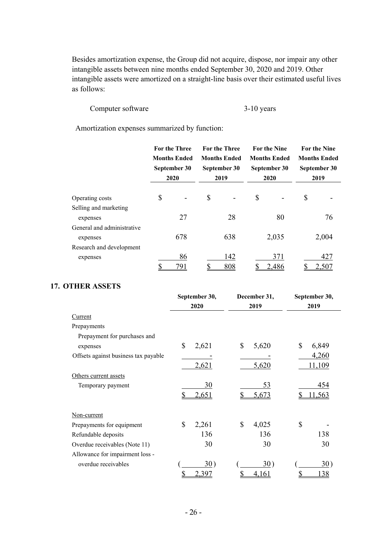Besides amortization expense, the Group did not acquire, dispose, nor impair any other intangible assets between nine months ended September 30, 2020 and 2019. Other intangible assets were amortized on a straight-line basis over their estimated useful lives as follows:

### Computer software 3-10 years

Amortization expenses summarized by function:

|                            | <b>For the Three</b><br><b>Months Ended</b><br>September 30<br>2020 | For the Three<br><b>Months Ended</b><br>September 30<br>2019 | <b>For the Nine</b><br><b>Months Ended</b><br>September 30<br>2020 | <b>For the Nine</b><br><b>Months Ended</b><br>September 30<br>2019 |
|----------------------------|---------------------------------------------------------------------|--------------------------------------------------------------|--------------------------------------------------------------------|--------------------------------------------------------------------|
| Operating costs            | \$                                                                  | \$                                                           | \$                                                                 | \$                                                                 |
| Selling and marketing      |                                                                     |                                                              |                                                                    |                                                                    |
| expenses                   | 27                                                                  | 28                                                           | 80                                                                 | 76                                                                 |
| General and administrative |                                                                     |                                                              |                                                                    |                                                                    |
| expenses                   | 678                                                                 | 638                                                          | 2,035                                                              | 2,004                                                              |
| Research and development   |                                                                     |                                                              |                                                                    |                                                                    |
| expenses                   | 86                                                                  | 142                                                          | 371                                                                | 427                                                                |
|                            | 791                                                                 | 808                                                          | 2,486                                                              | 2,507                                                              |

### **17. OTHER ASSETS**

|                                      | September 30, | December 31, | September 30,     |
|--------------------------------------|---------------|--------------|-------------------|
|                                      | 2020          | 2019         | 2019              |
| Current                              |               |              |                   |
| Prepayments                          |               |              |                   |
| Prepayment for purchases and         |               |              |                   |
| expenses                             | \$<br>2,621   | \$<br>5,620  | \$<br>6,849       |
| Offsets against business tax payable |               |              | 4,260             |
|                                      | 2,621         | 5,620        | 11,109            |
| Others current assets                |               |              |                   |
| Temporary payment                    | 30            | 53           | 454               |
|                                      | 2,651         | 5,673        | 11,563            |
| Non-current                          |               |              |                   |
| Prepayments for equipment            | \$<br>2,261   | \$<br>4,025  | \$                |
| Refundable deposits                  | 136           | 136          | 138               |
| Overdue receivables (Note 11)        | 30            | 30           | 30                |
| Allowance for impairment loss -      |               |              |                   |
| overdue receivables                  | 30)           | 30)          | 30)               |
|                                      | \$<br>2,397   | \$<br>4,161  | \$<br><u> 138</u> |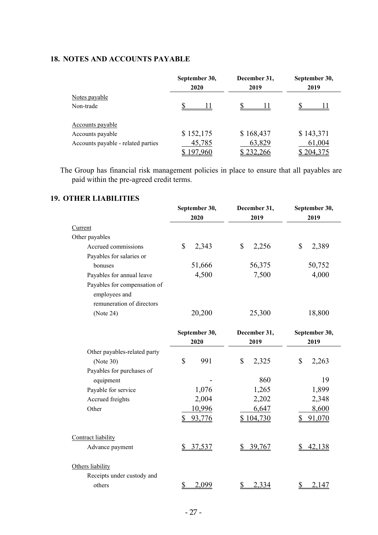# **18. NOTES AND ACCOUNTS PAYABLE**

|                                    | September 30,<br>2020 |           | September 30,<br>2019 |  |
|------------------------------------|-----------------------|-----------|-----------------------|--|
| Notes payable                      |                       |           |                       |  |
| Non-trade                          |                       |           |                       |  |
| Accounts payable                   |                       |           |                       |  |
| Accounts payable                   | \$152,175             | \$168,437 | \$143,371             |  |
| Accounts payable - related parties | 45,785                | 63,829    | 61,004                |  |
|                                    | <u>97,960</u>         | \$232,266 | 204,375               |  |

The Group has financial risk management policies in place to ensure that all payables are paid within the pre-agreed credit terms.

# **19. OTHER LIABILITIES**

|                              | September 30, | December 31, | September 30,       |  |
|------------------------------|---------------|--------------|---------------------|--|
|                              | 2020          | 2019         | 2019                |  |
| Current                      |               |              |                     |  |
| Other payables               |               |              |                     |  |
| Accrued commissions          | \$<br>2,343   | \$<br>2,256  | \$<br>2,389         |  |
| Payables for salaries or     |               |              |                     |  |
| bonuses                      | 51,666        | 56,375       | 50,752              |  |
| Payables for annual leave    | 4,500         | 7,500        | 4,000               |  |
| Payables for compensation of |               |              |                     |  |
| employees and                |               |              |                     |  |
| remuneration of directors    |               |              |                     |  |
| (Note 24)                    | 20,200        | 25,300       | 18,800              |  |
|                              | September 30, | December 31, | September 30,       |  |
|                              | 2020          | 2019         | 2019                |  |
| Other payables-related party |               |              |                     |  |
| (Note 30)                    | \$<br>991     | \$<br>2,325  | \$<br>2,263         |  |
| Payables for purchases of    |               |              |                     |  |
| equipment                    |               | 860          | 19                  |  |
| Payable for service          | 1,076         | 1,265        | 1,899               |  |
| Accrued freights             | 2,004         | 2,202        | 2,348               |  |
| Other                        | 10,996        | 6,647        | 8,600               |  |
|                              | \$<br>93,776  | \$104,730    | 91,070<br>\$        |  |
| Contract liability           |               |              |                     |  |
| Advance payment              | \$37,537      | 39,767<br>\$ | <u>42,138</u><br>\$ |  |
| Others liability             |               |              |                     |  |
| Receipts under custody and   |               |              |                     |  |
| others                       | \$<br>2,099   | 2,334<br>\$  | \$<br>2,147         |  |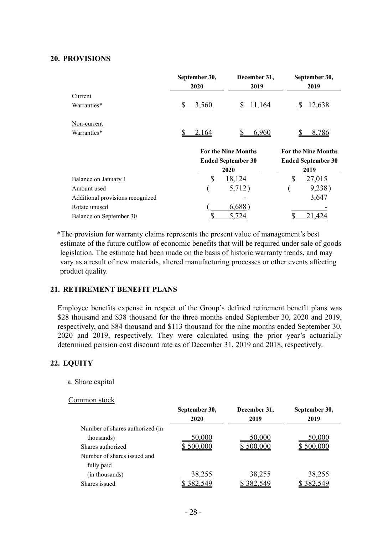#### **20. PROVISIONS**

|                                  | September 30, | December 31,               | September 30,              |
|----------------------------------|---------------|----------------------------|----------------------------|
|                                  | 2020          | 2019                       | 2019                       |
| Current                          |               |                            |                            |
| Warranties*                      | 3,560         | 11,164                     | <u>12,638</u>              |
| Non-current                      |               |                            |                            |
| Warranties*                      | 2,164         | 6,960                      | 8,786                      |
|                                  |               | <b>For the Nine Months</b> | <b>For the Nine Months</b> |
|                                  |               | <b>Ended September 30</b>  | <b>Ended September 30</b>  |
|                                  |               | 2020                       | 2019                       |
| Balance on January 1             | \$            | 18,124                     | \$<br>27,015               |
| Amount used                      |               | 5,712)                     | 9,238)                     |
| Additional provisions recognized |               |                            | 3,647                      |
| Rotate unused                    |               | 6,688                      |                            |
| Balance on September 30          |               |                            |                            |

\*The provision for warranty claims represents the present value of management's best estimate of the future outflow of economic benefits that will be required under sale of goods legislation. The estimate had been made on the basis of historic warranty trends, and may vary as a result of new materials, altered manufacturing processes or other events affecting product quality.

### **21. RETIREMENT BENEFIT PLANS**

Employee benefits expense in respect of the Group's defined retirement benefit plans was \$28 thousand and \$38 thousand for the three months ended September 30, 2020 and 2019, respectively, and \$84 thousand and \$113 thousand for the nine months ended September 30, 2020 and 2019, respectively. They were calculated using the prior year's actuarially determined pension cost discount rate as of December 31, 2019 and 2018, respectively.

#### **22. EQUITY**

#### a. Share capital

#### Common stock

|                                 | September 30, | December 31,  | September 30, |
|---------------------------------|---------------|---------------|---------------|
|                                 | 2020          | 2019          | 2019          |
| Number of shares authorized (in |               |               |               |
| thousands)                      | 50,000        | <u>50,000</u> | <u>50,000</u> |
| Shares authorized               | 500,000       | \$500,000     | \$500,000     |
| Number of shares issued and     |               |               |               |
| fully paid                      |               |               |               |
| (in thousands)                  | 38,255        | 38,255        | 38,255        |
| Shares issued                   |               |               |               |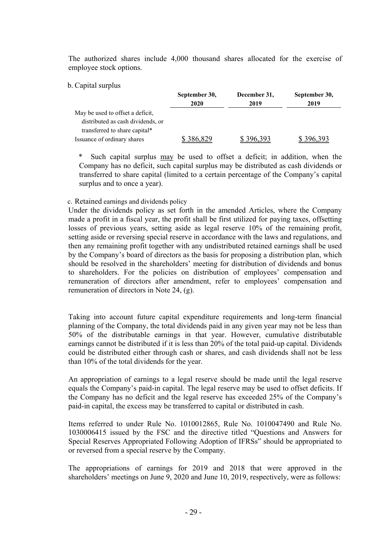The authorized shares include 4,000 thousand shares allocated for the exercise of employee stock options.

#### b. Capital surplus

|                                   | September 30, | December 31, | September 30, |  |
|-----------------------------------|---------------|--------------|---------------|--|
|                                   | 2020          | 2019         | 2019          |  |
| May be used to offset a deficit,  |               |              |               |  |
| distributed as cash dividends, or |               |              |               |  |
| transferred to share capital*     |               |              |               |  |
| Issuance of ordinary shares       | \$386,829     | \$396,393    | \$396,393     |  |

Such capital surplus may be used to offset a deficit; in addition, when the Company has no deficit, such capital surplus may be distributed as cash dividends or transferred to share capital (limited to a certain percentage of the Company's capital surplus and to once a year).

#### c. Retained earnings and dividends policy

Under the dividends policy as set forth in the amended Articles, where the Company made a profit in a fiscal year, the profit shall be first utilized for paying taxes, offsetting losses of previous years, setting aside as legal reserve 10% of the remaining profit, setting aside or reversing special reserve in accordance with the laws and regulations, and then any remaining profit together with any undistributed retained earnings shall be used by the Company's board of directors as the basis for proposing a distribution plan, which should be resolved in the shareholders' meeting for distribution of dividends and bonus to shareholders. For the policies on distribution of employees' compensation and remuneration of directors after amendment, refer to employees' compensation and remuneration of directors in Note 24, (g).

Taking into account future capital expenditure requirements and long-term financial planning of the Company, the total dividends paid in any given year may not be less than 50% of the distributable earnings in that year. However, cumulative distributable earnings cannot be distributed if it is less than 20% of the total paid-up capital. Dividends could be distributed either through cash or shares, and cash dividends shall not be less than 10% of the total dividends for the year.

An appropriation of earnings to a legal reserve should be made until the legal reserve equals the Company's paid-in capital. The legal reserve may be used to offset deficits. If the Company has no deficit and the legal reserve has exceeded 25% of the Company's paid-in capital, the excess may be transferred to capital or distributed in cash.

Items referred to under Rule No. 1010012865, Rule No. 1010047490 and Rule No. 1030006415 issued by the FSC and the directive titled "Questions and Answers for Special Reserves Appropriated Following Adoption of IFRSs" should be appropriated to or reversed from a special reserve by the Company.

The appropriations of earnings for 2019 and 2018 that were approved in the shareholders' meetings on June 9, 2020 and June 10, 2019, respectively, were as follows: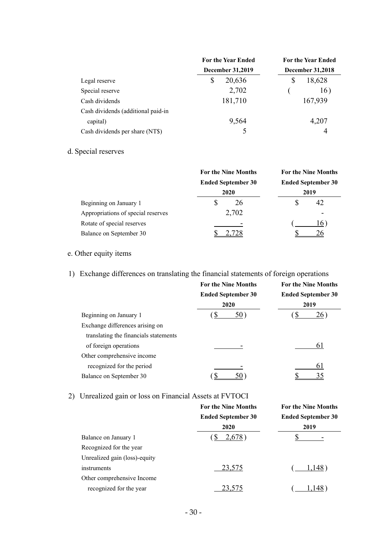|                                    | <b>For the Year Ended</b> | <b>For the Year Ended</b><br><b>December 31,2018</b> |  |
|------------------------------------|---------------------------|------------------------------------------------------|--|
|                                    | <b>December 31,2019</b>   |                                                      |  |
| Legal reserve                      | S<br>20,636               | 18,628<br>S                                          |  |
| Special reserve                    | 2,702                     | 16)                                                  |  |
| Cash dividends                     | 181,710                   | 167,939                                              |  |
| Cash dividends (additional paid-in |                           |                                                      |  |
| capital)                           | 9,564                     | 4,207                                                |  |
| Cash dividends per share (NT\$)    | 5                         | 4                                                    |  |

d. Special reserves

|                                    | <b>For the Nine Months</b> | <b>For the Nine Months</b><br><b>Ended September 30</b><br>2019 |  |
|------------------------------------|----------------------------|-----------------------------------------------------------------|--|
|                                    | <b>Ended September 30</b>  |                                                                 |  |
|                                    | 2020                       |                                                                 |  |
| Beginning on January 1             | 26                         | \$<br>42                                                        |  |
| Appropriations of special reserves | 2,702                      |                                                                 |  |
| Rotate of special reserves         |                            | 16                                                              |  |
| Balance on September 30            |                            |                                                                 |  |

# e. Other equity items

# 1) Exchange differences on translating the financial statements of foreign operations

|                                       | <b>For the Nine Months</b><br><b>Ended September 30</b> | <b>For the Nine Months</b><br><b>Ended September 30</b><br>2019 |  |
|---------------------------------------|---------------------------------------------------------|-----------------------------------------------------------------|--|
|                                       | 2020                                                    |                                                                 |  |
| Beginning on January 1                | 50)<br>D                                                | 26                                                              |  |
| Exchange differences arising on       |                                                         |                                                                 |  |
| translating the financials statements |                                                         |                                                                 |  |
| of foreign operations                 |                                                         | 6 I                                                             |  |
| Other comprehensive income            |                                                         |                                                                 |  |
| recognized for the period             |                                                         | 61                                                              |  |
| Balance on September 30               |                                                         |                                                                 |  |

# 2) Unrealized gain or loss on Financial Assets at FVTOCI

|                               | <b>For the Nine Months</b> | <b>For the Nine Months</b> |  |
|-------------------------------|----------------------------|----------------------------|--|
|                               | <b>Ended September 30</b>  | <b>Ended September 30</b>  |  |
|                               | 2020                       | 2019                       |  |
| Balance on January 1          | 2,678)<br>.১               |                            |  |
| Recognized for the year       |                            |                            |  |
| Unrealized gain (loss)-equity |                            |                            |  |
| instruments                   | 23,575                     | 1,148)                     |  |
| Other comprehensive Income    |                            |                            |  |
| recognized for the year       | 23,575                     | 1.148                      |  |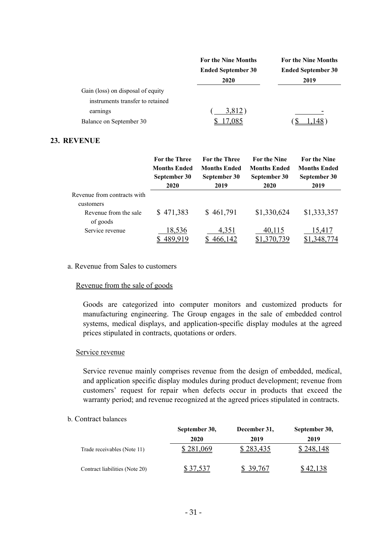|                                     | <b>For the Nine Months</b>        | <b>For the Nine Months</b>        |  |
|-------------------------------------|-----------------------------------|-----------------------------------|--|
|                                     | <b>Ended September 30</b><br>2020 | <b>Ended September 30</b><br>2019 |  |
| Gain (loss) on disposal of equity   |                                   |                                   |  |
| instruments transfer to retained    |                                   |                                   |  |
| earnings<br>Balance on September 30 | 3,812)<br>.085                    |                                   |  |

#### **23. REVENUE**

|                                                                   | <b>For the Three</b> | <b>For the Three</b> | <b>For the Nine</b> | <b>For the Nine</b> |
|-------------------------------------------------------------------|----------------------|----------------------|---------------------|---------------------|
|                                                                   | <b>Months Ended</b>  | <b>Months Ended</b>  | <b>Months Ended</b> | <b>Months Ended</b> |
|                                                                   | September 30         | September 30         | September 30        | September 30        |
|                                                                   | 2020                 | 2019                 | 2020                | 2019                |
| Revenue from contracts with<br>customers<br>Revenue from the sale | \$471,383            | \$461,791            | \$1,330,624         | \$1,333,357         |
| of goods                                                          | 18,536               | 4,351                | 40,115              | 15,417              |
| Service revenue                                                   | 489.919              | 466,142              | \$1,370,739         | ,348,774            |

#### a. Revenue from Sales to customers

#### Revenue from the sale of goods

Goods are categorized into computer monitors and customized products for manufacturing engineering. The Group engages in the sale of embedded control systems, medical displays, and application-specific display modules at the agreed prices stipulated in contracts, quotations or orders.

#### Service revenue

Service revenue mainly comprises revenue from the design of embedded, medical, and application specific display modules during product development; revenue from customers' request for repair when defects occur in products that exceed the warranty period; and revenue recognized at the agreed prices stipulated in contracts.

#### b. Contract balances

|                                | September 30, | December 31, | September 30, |
|--------------------------------|---------------|--------------|---------------|
|                                | 2020          | 2019         | 2019          |
| Trade receivables (Note 11)    | 281,069       | 283,435      | 248.148       |
| Contract liabilities (Note 20) | \$37,537      | 39.767       | \$42,138      |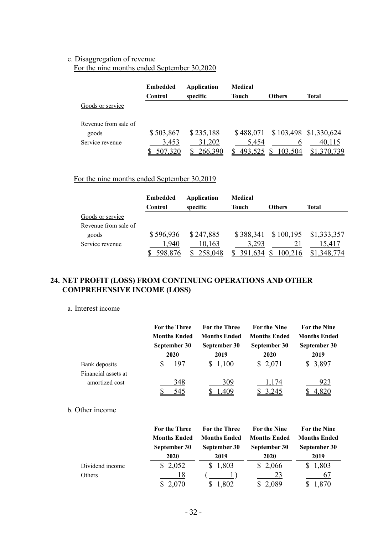# c. Disaggregation of revenue

For the nine months ended September 30,2020

|                      | <b>Embedded</b><br>Control | Application<br>specific | <b>Medical</b><br><b>Touch</b> | <b>Others</b> | Total                 |
|----------------------|----------------------------|-------------------------|--------------------------------|---------------|-----------------------|
| Goods or service     |                            |                         |                                |               |                       |
| Revenue from sale of |                            |                         |                                |               |                       |
| goods                | \$503,867                  | \$235,188               | \$488,071                      |               | \$103,498 \$1,330,624 |
| Service revenue      | 3,453                      | 31,202                  | 5,454                          | b             | 40,115                |
|                      | 507,320                    | 266,390                 | 493,525                        | 103,504       |                       |

# For the nine months ended September 30,2019

|                      | <b>Embedded</b> | Application    | Medical        |               |                                 |
|----------------------|-----------------|----------------|----------------|---------------|---------------------------------|
|                      | Control         | specific       | Touch          | <b>Others</b> | Total                           |
| Goods or service     |                 |                |                |               |                                 |
| Revenue from sale of |                 |                |                |               |                                 |
| goods                | \$596,936       | \$247,885      |                |               | \$388,341 \$100,195 \$1,333,357 |
| Service revenue      | .940            | 10,163         | 3,293          |               | 15.417                          |
|                      |                 | <u>258,048</u> | <u>591,634</u> |               |                                 |

# **24. NET PROFIT (LOSS) FROM CONTINUING OPERATIONS AND OTHER COMPREHENSIVE INCOME (LOSS)**

#### a. Interest income

|                     |   | <b>For the Three</b> | <b>For the Three</b> | <b>For the Nine</b> | <b>For the Nine</b> |
|---------------------|---|----------------------|----------------------|---------------------|---------------------|
|                     |   | <b>Months Ended</b>  | <b>Months Ended</b>  | <b>Months Ended</b> | <b>Months Ended</b> |
|                     |   | September 30         | September 30         | September 30        | September 30        |
|                     |   | 2020                 | 2019                 | 2020                | 2019                |
| Bank deposits       | S | 197                  | \$1,100              | \$2,071             | \$3,897             |
| Financial assets at |   |                      |                      |                     |                     |
| amortized cost      |   | 348                  | 309                  | 1,174               | 923                 |
|                     |   | 545                  | 409                  | 3.245               |                     |

### b. Other income

|                 | <b>For the Three</b> | For the Three       | <b>For the Nine</b> | For the Nine        |
|-----------------|----------------------|---------------------|---------------------|---------------------|
|                 | <b>Months Ended</b>  | <b>Months Ended</b> | <b>Months Ended</b> | <b>Months Ended</b> |
|                 | September 30         | September 30        | September 30        | September 30        |
|                 | 2020                 | 2019                | 2020                | 2019                |
| Dividend income | \$2,052              | \$1,803             | \$2,066             | \$1,803             |
| Others          | 18                   |                     | 23                  | 67                  |
|                 |                      |                     |                     |                     |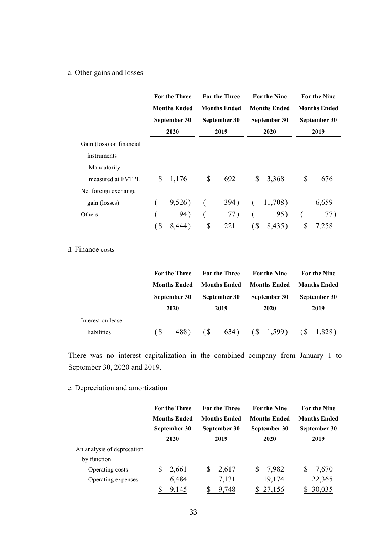### c. Other gains and losses

|                          | <b>For the Three</b> | <b>For the Three</b> |              | <b>For the Nine</b> | <b>For the Nine</b> |
|--------------------------|----------------------|----------------------|--------------|---------------------|---------------------|
|                          | <b>Months Ended</b>  | <b>Months Ended</b>  |              | <b>Months Ended</b> | <b>Months Ended</b> |
|                          | September 30         | September 30         |              | September 30        | September 30        |
|                          | 2020                 | 2019                 |              | 2020                | 2019                |
| Gain (loss) on financial |                      |                      |              |                     |                     |
| instruments              |                      |                      |              |                     |                     |
| Mandatorily              |                      |                      |              |                     |                     |
| measured at FVTPL        | \$<br>1,176          | \$<br>692            | \$           | 3,368               | \$<br>676           |
| Net foreign exchange     |                      |                      |              |                     |                     |
| gain (losses)            | 9,526)               | 394)                 |              | 11,708)             | 6,659               |
| Others                   | 94)                  | 77)                  |              | 95)                 | 77)                 |
|                          |                      | <u>221</u>           | $\mathbb{S}$ | 8,435)              | .258                |

# d. Finance costs

|                   | <b>For the Three</b> | <b>For the Three</b> | <b>For the Nine</b> | <b>For the Nine</b> |
|-------------------|----------------------|----------------------|---------------------|---------------------|
|                   | <b>Months Ended</b>  | <b>Months Ended</b>  | <b>Months Ended</b> | <b>Months Ended</b> |
|                   | September 30         | September 30         | September 30        | September 30        |
|                   | 2020                 | 2019                 | 2020                | 2019                |
| Interest on lease |                      |                      |                     |                     |
| liabilities       | 488.                 | -S<br>634)           | ′S∖<br>1.599)       |                     |

There was no interest capitalization in the combined company from January 1 to September 30, 2020 and 2019.

# e. Depreciation and amortization

|                            | <b>For the Three</b> |   | <b>For the Three</b> |    | <b>For the Nine</b> |   | <b>For the Nine</b> |
|----------------------------|----------------------|---|----------------------|----|---------------------|---|---------------------|
|                            | <b>Months Ended</b>  |   | <b>Months Ended</b>  |    | <b>Months Ended</b> |   | <b>Months Ended</b> |
|                            | September 30         |   | September 30         |    | September 30        |   | September 30        |
|                            | 2020                 |   | 2019                 |    | 2020                |   | 2019                |
| An analysis of deprecation |                      |   |                      |    |                     |   |                     |
| by function                |                      |   |                      |    |                     |   |                     |
| Operating costs            | \$<br>2,661          | S | 2,617                | S. | 7,982               | S | 7,670               |
| Operating expenses         | 6,484                |   | 7,131                |    | 19,174              |   | 22,365              |
|                            | 9,145                |   | 9.748                |    |                     |   | 30,035              |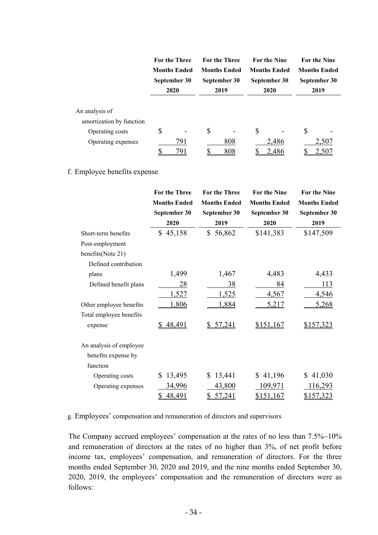|                                                                                     | <b>For the Three</b><br><b>Months Ended</b><br>September 30<br>2020 | <b>For the Three</b><br><b>Months Ended</b><br>September 30<br>2019 | <b>For the Nine</b><br><b>Months Ended</b><br>2020 | September 30        | <b>For the Nine</b><br><b>Months Ended</b><br>September 30<br>2019 |
|-------------------------------------------------------------------------------------|---------------------------------------------------------------------|---------------------------------------------------------------------|----------------------------------------------------|---------------------|--------------------------------------------------------------------|
| An analysis of<br>amortization by function<br>Operating costs<br>Operating expenses | \$<br>791<br>791                                                    | \$<br>808<br>808                                                    | \$                                                 | -<br>2,486<br>2,486 | \$<br>2,507<br>2,50 <sup>'</sup>                                   |

#### f. Employee benefits expense

|                         | <b>For the Three</b> | <b>For the Three</b> | <b>For the Nine</b> | <b>For the Nine</b> |
|-------------------------|----------------------|----------------------|---------------------|---------------------|
|                         | <b>Months Ended</b>  | <b>Months Ended</b>  | <b>Months Ended</b> | <b>Months Ended</b> |
|                         | September 30         | September 30         | September 30        | September 30        |
|                         | 2020                 | 2019                 | 2020                | 2019                |
| Short-term benefits     | \$45,158             | 56,862<br>\$         | \$141,383           | \$147,509           |
| Post-employment         |                      |                      |                     |                     |
| benefits(Note 21)       |                      |                      |                     |                     |
| Defined contribution    |                      |                      |                     |                     |
| plans                   | 1,499                | 1,467                | 4,483               | 4,433               |
| Defined benefit plans   | 28                   | 38                   | 84                  | 113                 |
|                         | 1,527                | 1,525                | 4,567               | 4,546               |
| Other employee benefits | 1,806                | 1,884                | 5,217               | 5,268               |
| Total employee benefits |                      |                      |                     |                     |
| expense                 | 48,491               | 57,241               | \$151,167           | \$157,323           |
|                         |                      |                      |                     |                     |
| An analysis of employee |                      |                      |                     |                     |
| benefits expense by     |                      |                      |                     |                     |
| function                |                      |                      |                     |                     |
| Operating costs         | 13,495<br>S          | 13,441<br>\$         | 41,196<br>S.        | 41,030<br>\$        |
| Operating expenses      | 34,996               | 43,800               | 109,971             | 116,293             |
|                         | 48,491               | 57,241               | \$151,167           | \$157,323           |

g. Employees' compensation and remuneration of directors and supervisors

The Company accrued employees' compensation at the rates of no less than 7.5%~10% and remuneration of directors at the rates of no higher than 3%, of net profit before income tax, employees' compensation, and remuneration of directors. For the three months ended September 30, 2020 and 2019, and the nine months ended September 30, 2020, 2019, the employees' compensation and the remuneration of directors were as follows: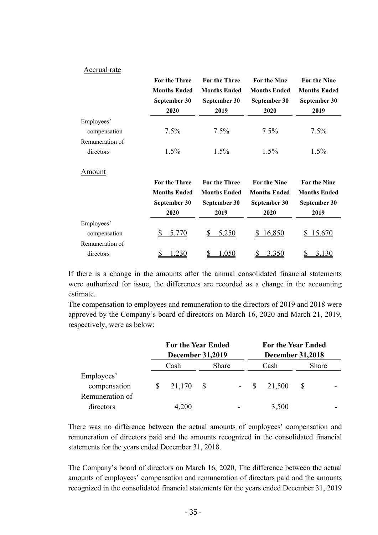#### Accrual rate

|                 | <b>For the Three</b> | <b>For the Three</b> | <b>For the Nine</b> | <b>For the Nine</b> |
|-----------------|----------------------|----------------------|---------------------|---------------------|
|                 | <b>Months Ended</b>  | <b>Months Ended</b>  | <b>Months Ended</b> | <b>Months Ended</b> |
|                 | September 30         | September 30         | September 30        | September 30        |
|                 | 2020                 | 2019                 | 2020                | 2019                |
| Employees'      |                      |                      |                     |                     |
| compensation    | $7.5\%$              | $7.5\%$              | $7.5\%$             | 7.5%                |
| Remuneration of |                      |                      |                     |                     |
| directors       | $1.5\%$              | $1.5\%$              | $1.5\%$             | $1.5\%$             |
| Amount          |                      |                      |                     |                     |
|                 | <b>For the Three</b> | <b>For the Three</b> | <b>For the Nine</b> | <b>For the Nine</b> |
|                 | Monthe Fnded         | Months Fnded         | Months Fnded        | Months Fnded        |

|                 | <b>Months Ended</b><br>September 30<br>2020 | <b>Months Ended</b><br>September 30<br>2019 | <b>Months Ended</b><br>September 30<br>2020 | <b>Months Ended</b><br>September 30<br>2019 |
|-----------------|---------------------------------------------|---------------------------------------------|---------------------------------------------|---------------------------------------------|
| Employees'      |                                             |                                             |                                             |                                             |
| compensation    | 5,770                                       | 5,250                                       | 16,850                                      | 15,670                                      |
| Remuneration of |                                             |                                             |                                             |                                             |
| directors       |                                             |                                             | 3,350                                       |                                             |

If there is a change in the amounts after the annual consolidated financial statements were authorized for issue, the differences are recorded as a change in the accounting estimate.

The compensation to employees and remuneration to the directors of 2019 and 2018 were approved by the Company's board of directors on March 16, 2020 and March 21, 2019, respectively, were as below:

|                 | <b>For the Year Ended</b><br><b>December 31,2019</b> |      |       | <b>For the Year Ended</b><br><b>December 31,2018</b> |       |        |  |       |
|-----------------|------------------------------------------------------|------|-------|------------------------------------------------------|-------|--------|--|-------|
|                 | Cash                                                 |      | Share |                                                      |       | Cash   |  | Share |
| Employees'      |                                                      |      |       |                                                      |       |        |  |       |
| compensation    | 21,170                                               | - \$ |       |                                                      | $- S$ | 21,500 |  |       |
| Remuneration of |                                                      |      |       |                                                      |       |        |  |       |
| directors       | 4,200                                                |      |       |                                                      |       | 3,500  |  |       |

There was no difference between the actual amounts of employees' compensation and remuneration of directors paid and the amounts recognized in the consolidated financial statements for the years ended December 31, 2018.

The Company's board of directors on March 16, 2020, The difference between the actual amounts of employees' compensation and remuneration of directors paid and the amounts recognized in the consolidated financial statements for the years ended December 31, 2019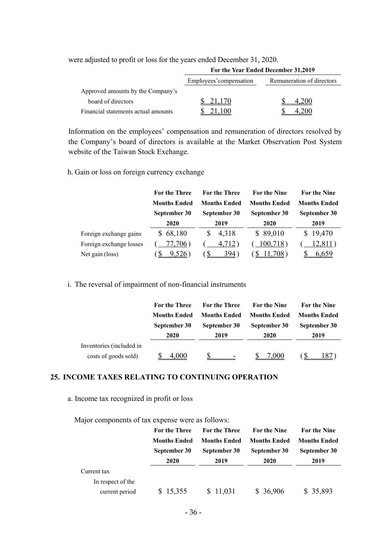|                                     | For the Year Ended December 31,2019 |                           |  |  |  |  |
|-------------------------------------|-------------------------------------|---------------------------|--|--|--|--|
|                                     | Employees' compensation             | Remuneration of directors |  |  |  |  |
| Approved amounts by the Company's   |                                     |                           |  |  |  |  |
| board of directors                  | 21.170                              | 4.200                     |  |  |  |  |
| Financial statements actual amounts |                                     |                           |  |  |  |  |

were adjusted to profit or loss for the years ended December 31, 2020.

Information on the employees' compensation and remuneration of directors resolved by the Company's board of directors is available at the Market Observation Post System website of the Taiwan Stock Exchange.

h. Gain or loss on foreign currency exchange

|                         | <b>For the Three</b> | <b>For the Three</b> | <b>For the Nine</b> | <b>For the Nine</b> |  |
|-------------------------|----------------------|----------------------|---------------------|---------------------|--|
|                         | <b>Months Ended</b>  | <b>Months Ended</b>  | <b>Months Ended</b> | <b>Months Ended</b> |  |
|                         | September 30         | September 30         | September 30        | September 30        |  |
|                         | 2020                 | 2019                 | 2020                | 2019                |  |
| Foreign exchange gains  | \$68,180             | 4,318<br><b>S</b>    | \$89,010            | \$19,470            |  |
| Foreign exchange losses | 77,706)              | 4,712)               | 100,718)            | 12,811)             |  |
| Net gain (loss)         |                      | 394                  |                     | 6.659               |  |

#### i. The reversal of impairment of non-financial instruments

|                          | <b>For the Three</b> | <b>For the Three</b> | <b>For the Nine</b>  | For the Nine                                |  |
|--------------------------|----------------------|----------------------|----------------------|---------------------------------------------|--|
|                          | <b>Months Ended</b>  | <b>Months Ended</b>  | <b>Months Ended</b>  | <b>Months Ended</b><br>September 30<br>2019 |  |
|                          | September 30<br>2020 | September 30<br>2019 | September 30<br>2020 |                                             |  |
|                          |                      |                      |                      |                                             |  |
| Inventories (included in |                      |                      |                      |                                             |  |
| costs of goods sold)     | 000                  |                      | 7.000                |                                             |  |

#### **25. INCOME TAXES RELATING TO CONTINUING OPERATION**

### a. Income tax recognized in profit or loss

| Major components of tax expense were as follows: |  |
|--------------------------------------------------|--|
|--------------------------------------------------|--|

|                   | <b>For the Three</b> | <b>For the Three</b> | <b>For the Nine</b> | <b>For the Nine</b> |  |
|-------------------|----------------------|----------------------|---------------------|---------------------|--|
|                   | <b>Months Ended</b>  | <b>Months Ended</b>  | <b>Months Ended</b> | <b>Months Ended</b> |  |
|                   | September 30         | September 30         | September 30        | September 30        |  |
|                   | 2020                 | 2019                 | 2020                | 2019                |  |
| Current tax       |                      |                      |                     |                     |  |
| In respect of the |                      |                      |                     |                     |  |
| current period    | \$15,355             | \$11,031             | \$36,906            | \$35,893            |  |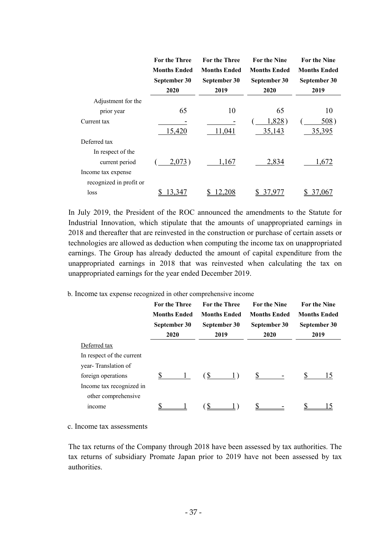|                         | <b>For the Three</b><br><b>Months Ended</b><br>September 30<br>2020 | <b>For the Three</b><br><b>Months Ended</b><br>September 30<br>2019 | <b>For the Nine</b><br><b>Months Ended</b><br>September 30<br>2020 | <b>For the Nine</b><br><b>Months Ended</b><br>September 30<br>2019 |
|-------------------------|---------------------------------------------------------------------|---------------------------------------------------------------------|--------------------------------------------------------------------|--------------------------------------------------------------------|
| Adjustment for the      |                                                                     |                                                                     |                                                                    |                                                                    |
| prior year              | 65                                                                  | 10                                                                  | 65                                                                 | 10                                                                 |
| Current tax             |                                                                     |                                                                     | 1,828)                                                             | 508)                                                               |
|                         | 15,420                                                              | 11,041                                                              | 35,143                                                             | 35,395                                                             |
| Deferred tax            |                                                                     |                                                                     |                                                                    |                                                                    |
| In respect of the       |                                                                     |                                                                     |                                                                    |                                                                    |
| current period          | 2,073)                                                              | 1,167                                                               | 2,834                                                              | 1,672                                                              |
| Income tax expense      |                                                                     |                                                                     |                                                                    |                                                                    |
| recognized in profit or |                                                                     |                                                                     |                                                                    |                                                                    |
| loss                    | 3,347                                                               |                                                                     |                                                                    | 37,0 <u>6</u>                                                      |

In July 2019, the President of the ROC announced the amendments to the Statute for Industrial Innovation, which stipulate that the amounts of unappropriated earnings in 2018 and thereafter that are reinvested in the construction or purchase of certain assets or technologies are allowed as deduction when computing the income tax on unappropriated earnings. The Group has already deducted the amount of capital expenditure from the unappropriated earnings in 2018 that was reinvested when calculating the tax on unappropriated earnings for the year ended December 2019.

#### b. Income tax expense recognized in other comprehensive income

|                           | <b>For the Three</b><br><b>Months Ended</b><br>September 30<br>2020 | <b>Months Ended</b> | <b>For the Three</b><br>September 30<br>2019 | <b>For the Nine</b><br><b>Months Ended</b><br>September 30<br>2020 |    | <b>For the Nine</b><br><b>Months Ended</b><br>September 30<br>2019 |
|---------------------------|---------------------------------------------------------------------|---------------------|----------------------------------------------|--------------------------------------------------------------------|----|--------------------------------------------------------------------|
| Deferred tax              |                                                                     |                     |                                              |                                                                    |    |                                                                    |
| In respect of the current |                                                                     |                     |                                              |                                                                    |    |                                                                    |
| year-Translation of       |                                                                     |                     |                                              |                                                                    |    |                                                                    |
| foreign operations        | S                                                                   | $(S_{\cdot})$       |                                              | S.                                                                 | \$ | 15                                                                 |
| Income tax recognized in  |                                                                     |                     |                                              |                                                                    |    |                                                                    |
| other comprehensive       |                                                                     |                     |                                              |                                                                    |    |                                                                    |
| <i>ncome</i>              |                                                                     |                     |                                              |                                                                    |    |                                                                    |

c. Income tax assessments

The tax returns of the Company through 2018 have been assessed by tax authorities. The tax returns of subsidiary Promate Japan prior to 2019 have not been assessed by tax authorities.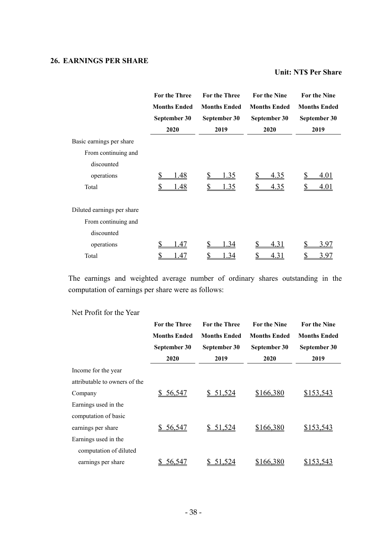# **26. EARNINGS PER SHARE**

#### **Unit: NT\$ Per Share**

|                            | <b>For the Three</b> | <b>For the Three</b> | <b>For the Nine</b> | <b>For the Nine</b> |  |
|----------------------------|----------------------|----------------------|---------------------|---------------------|--|
|                            | <b>Months Ended</b>  | <b>Months Ended</b>  | <b>Months Ended</b> | <b>Months Ended</b> |  |
|                            | September 30         | September 30         | September 30        | September 30        |  |
|                            | 2020                 | 2019                 | 2020                | 2019                |  |
| Basic earnings per share   |                      |                      |                     |                     |  |
| From continuing and        |                      |                      |                     |                     |  |
| discounted                 |                      |                      |                     |                     |  |
| operations                 | \$<br>l.48           | <u>1.35</u>          | <u>4.35</u>         | 4.01                |  |
| Total                      | \$<br>l.48           | 1.35                 | <u>4.35</u>         | 4.01                |  |
| Diluted earnings per share |                      |                      |                     |                     |  |
| From continuing and        |                      |                      |                     |                     |  |
| discounted                 |                      |                      |                     |                     |  |
| operations                 | S<br>1.47            | \$<br>1.34           | <u>4.31</u>         | 3.97                |  |
| Total                      | \$<br>1.47           | \$<br>1.34           | 4.31                | 3.97                |  |

The earnings and weighted average number of ordinary shares outstanding in the computation of earnings per share were as follows:

# Net Profit for the Year

|                               | <b>For the Three</b> | <b>For the Three</b> | <b>For the Nine</b> | For the Nine        |  |
|-------------------------------|----------------------|----------------------|---------------------|---------------------|--|
|                               | <b>Months Ended</b>  | <b>Months Ended</b>  | <b>Months Ended</b> | <b>Months Ended</b> |  |
|                               | September 30         | September 30         | September 30        | September 30        |  |
|                               | 2020                 | 2019                 | 2020                | 2019                |  |
| Income for the year           |                      |                      |                     |                     |  |
| attributable to owners of the |                      |                      |                     |                     |  |
| Company                       | 56,547               | \$51,524             | \$166,380           | \$153,543           |  |
| Earnings used in the          |                      |                      |                     |                     |  |
| computation of basic          |                      |                      |                     |                     |  |
| earnings per share            | 56,547               | \$51,524             | \$166,380           | \$153,543           |  |
| Earnings used in the          |                      |                      |                     |                     |  |
| computation of diluted        |                      |                      |                     |                     |  |
| earnings per share            | 56,547               | 51,524               | \$166,380           | \$153,543           |  |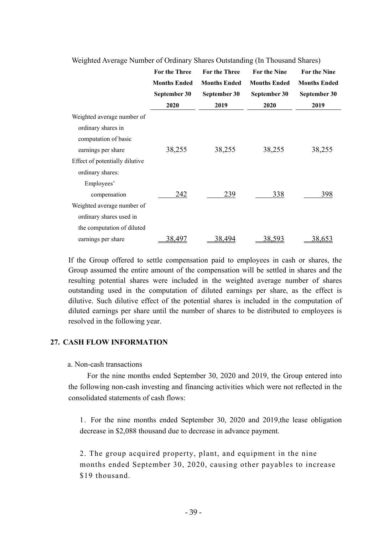|                                | <b>For the Three</b><br><b>Months Ended</b> | <b>For the Three</b><br><b>Months Ended</b> | <b>For the Nine</b><br><b>Months Ended</b> | <b>For the Nine</b><br><b>Months Ended</b> |  |  |
|--------------------------------|---------------------------------------------|---------------------------------------------|--------------------------------------------|--------------------------------------------|--|--|
|                                | September 30                                | September 30                                | September 30                               | September 30                               |  |  |
|                                | 2020                                        | 2019                                        | 2020                                       | 2019                                       |  |  |
| Weighted average number of     |                                             |                                             |                                            |                                            |  |  |
| ordinary shares in             |                                             |                                             |                                            |                                            |  |  |
| computation of basic           |                                             |                                             |                                            |                                            |  |  |
| earnings per share             | 38,255                                      | 38,255                                      | 38,255                                     | 38,255                                     |  |  |
| Effect of potentially dilutive |                                             |                                             |                                            |                                            |  |  |
| ordinary shares:               |                                             |                                             |                                            |                                            |  |  |
| Employees'                     |                                             |                                             |                                            |                                            |  |  |
| compensation                   | 242                                         | 239                                         | 338                                        | 398                                        |  |  |
| Weighted average number of     |                                             |                                             |                                            |                                            |  |  |
| ordinary shares used in        |                                             |                                             |                                            |                                            |  |  |
| the computation of diluted     |                                             |                                             |                                            |                                            |  |  |
| earnings per share             | 38,497                                      | 38,494                                      | <u>38,593</u>                              | 38,653                                     |  |  |

Weighted Average Number of Ordinary Shares Outstanding (In Thousand Shares)

If the Group offered to settle compensation paid to employees in cash or shares, the Group assumed the entire amount of the compensation will be settled in shares and the resulting potential shares were included in the weighted average number of shares outstanding used in the computation of diluted earnings per share, as the effect is dilutive. Such dilutive effect of the potential shares is included in the computation of diluted earnings per share until the number of shares to be distributed to employees is resolved in the following year.

#### **27. CASH FLOW INFORMATION**

#### a. Non-cash transactions

For the nine months ended September 30, 2020 and 2019, the Group entered into the following non-cash investing and financing activities which were not reflected in the consolidated statements of cash flows:

1. For the nine months ended September 30, 2020 and 2019,the lease obligation decrease in \$2,088 thousand due to decrease in advance payment.

2. The group acquired property, plant, and equipment in the nine months ended September 30, 2020, causing other payables to increase \$19 thousand.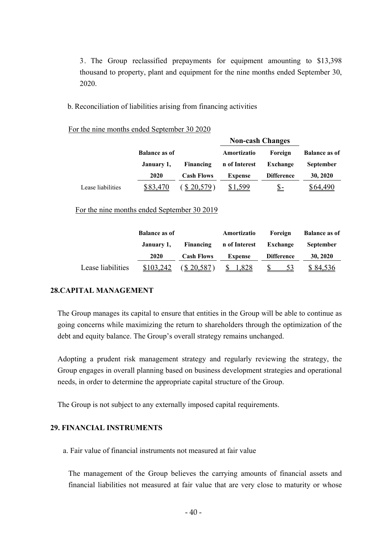3. The Group reclassified prepayments for equipment amounting to \$13,398 thousand to property, plant and equipment for the nine months ended September 30, 2020.

b. Reconciliation of liabilities arising from financing activities

For the nine months ended September 30 2020

|                   |                      |                   | <b>Non-cash Changes</b> |                   |                      |  |
|-------------------|----------------------|-------------------|-------------------------|-------------------|----------------------|--|
|                   | <b>Balance as of</b> |                   | Amortizatio             | Foreign           | <b>Balance as of</b> |  |
|                   | January 1,           | Financing         | n of Interest           | Exchange          | <b>September</b>     |  |
|                   | 2020                 | <b>Cash Flows</b> | Expense                 | <b>Difference</b> | 30, 2020             |  |
| Lease liabilities | \$83,470             | 20,579            | \$1.599                 | <u>S-</u>         | \$64.490             |  |

For the nine months ended September 30 2019

|                   | <b>Balance as of</b> |                   | Amortizatio                      | Foreign           | <b>Balance as of</b> |
|-------------------|----------------------|-------------------|----------------------------------|-------------------|----------------------|
|                   | January 1,           |                   | Financing n of Interest Exchange |                   | <b>September</b>     |
|                   | 2020                 | <b>Cash Flows</b> | <b>Expense</b>                   | <b>Difference</b> | 30, 2020             |
| Lease liabilities | \$103,242            | (S20,587)         | \$1,828                          | 53                | \$84,536             |

# **28.CAPITAL MANAGEMENT**

The Group manages its capital to ensure that entities in the Group will be able to continue as going concerns while maximizing the return to shareholders through the optimization of the debt and equity balance. The Group's overall strategy remains unchanged.

Adopting a prudent risk management strategy and regularly reviewing the strategy, the Group engages in overall planning based on business development strategies and operational needs, in order to determine the appropriate capital structure of the Group.

The Group is not subject to any externally imposed capital requirements.

### **29. FINANCIAL INSTRUMENTS**

a. Fair value of financial instruments not measured at fair value

The management of the Group believes the carrying amounts of financial assets and financial liabilities not measured at fair value that are very close to maturity or whose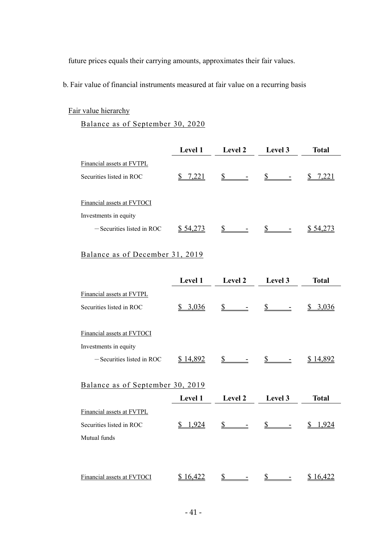future prices equals their carrying amounts, approximates their fair values.

b. Fair value of financial instruments measured at fair value on a recurring basis

# Fair value hierarchy

Balance as of September 30, 2020

|                              | <b>Level 1</b> | <b>Level 2</b> | Level 3 | <b>Total</b> |
|------------------------------|----------------|----------------|---------|--------------|
| Financial assets at FVTPL    |                |                |         |              |
| Securities listed in ROC     | 7,221          |                |         |              |
| Financial assets at FVTOCI   |                |                |         |              |
| Investments in equity        |                |                |         |              |
| $-$ Securities listed in ROC | \$54,273       |                |         | \$54,273     |

# Balance as of December 31, 2019

|                                  | Level 1        | Level 2        | Level 3        | <b>Total</b>    |
|----------------------------------|----------------|----------------|----------------|-----------------|
| Financial assets at FVTPL        |                |                |                |                 |
| Securities listed in ROC         | \$3,036        | $\mathbb{S}$   | $\mathbb{S}^-$ | \$3,036         |
| Financial assets at FVTOCI       |                |                |                |                 |
| Investments in equity            |                |                |                |                 |
| $-$ Securities listed in ROC     | \$14,892       |                | $\mathbb{S}$   | <u>\$14,892</u> |
|                                  |                |                |                |                 |
| Balance as of September 30, 2019 |                |                |                |                 |
|                                  | <b>Level 1</b> | <b>Level 2</b> | Level 3        | <b>Total</b>    |
| Financial assets at FVTPL        |                |                |                |                 |
| Securities listed in ROC         | 1,924<br>S     |                |                | <u>1,924</u>    |
| Mutual funds                     |                |                |                |                 |
|                                  |                |                |                |                 |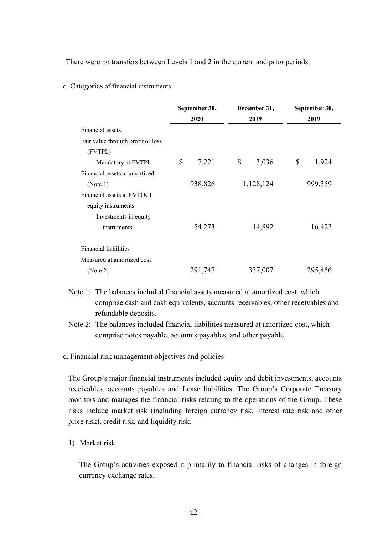There were no transfers between Levels 1 and 2 in the current and prior periods.

#### c. Categories of financial instruments

|                                   | September 30, |         | December 31, |           | September 30, |         |  |
|-----------------------------------|---------------|---------|--------------|-----------|---------------|---------|--|
|                                   |               | 2020    |              | 2019      |               | 2019    |  |
| Financial assets                  |               |         |              |           |               |         |  |
| Fair value through profit or loss |               |         |              |           |               |         |  |
| (FVTPL)                           |               |         |              |           |               |         |  |
| Mandatory at FVTPL                | \$            | 7,221   | \$           | 3,036     | \$            | 1,924   |  |
| Financial assets at amortized     |               |         |              |           |               |         |  |
| (Note 1)                          |               | 938,826 |              | 1,128,124 |               | 999,359 |  |
| Financial assets at FVTOCI        |               |         |              |           |               |         |  |
| equity instruments                |               |         |              |           |               |         |  |
| Investments in equity             |               |         |              |           |               |         |  |
| instruments                       |               | 54,273  |              | 14,892    |               | 16,422  |  |
| Financial liabilities             |               |         |              |           |               |         |  |
| Measured at amortized cost        |               |         |              |           |               |         |  |
| (Note 2)                          |               | 291,747 |              | 337,007   |               | 295,456 |  |

- Note 1: The balances included financial assets measured at amortized cost, which comprise cash and cash equivalents, accounts receivables, other receivables and refundable deposits.
- Note 2: The balances included financial liabilities measured at amortized cost, which comprise notes payable, accounts payables, and other payable.

d. Financial risk management objectives and policies

The Group's major financial instruments included equity and debit investments, accounts receivables, accounts payables and Lease liabilities. The Group's Corporate Treasury monitors and manages the financial risks relating to the operations of the Group. These risks include market risk (including foreign currency risk, interest rate risk and other price risk), credit risk, and liquidity risk.

1) Market risk

The Group's activities exposed it primarily to financial risks of changes in foreign currency exchange rates.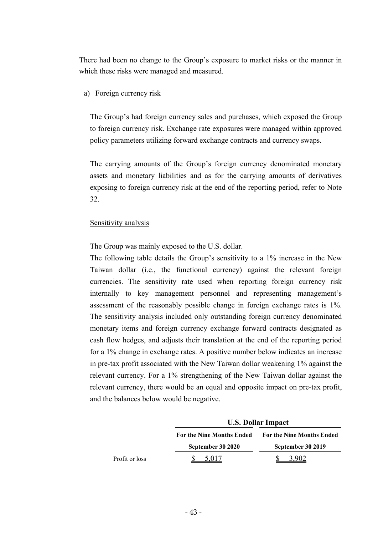There had been no change to the Group's exposure to market risks or the manner in which these risks were managed and measured.

a) Foreign currency risk

The Group's had foreign currency sales and purchases, which exposed the Group to foreign currency risk. Exchange rate exposures were managed within approved policy parameters utilizing forward exchange contracts and currency swaps.

The carrying amounts of the Group's foreign currency denominated monetary assets and monetary liabilities and as for the carrying amounts of derivatives exposing to foreign currency risk at the end of the reporting period, refer to Note 32.

#### Sensitivity analysis

The Group was mainly exposed to the U.S. dollar.

The following table details the Group's sensitivity to a 1% increase in the New Taiwan dollar (i.e., the functional currency) against the relevant foreign currencies. The sensitivity rate used when reporting foreign currency risk internally to key management personnel and representing management's assessment of the reasonably possible change in foreign exchange rates is 1%. The sensitivity analysis included only outstanding foreign currency denominated monetary items and foreign currency exchange forward contracts designated as cash flow hedges, and adjusts their translation at the end of the reporting period for a 1% change in exchange rates. A positive number below indicates an increase in pre-tax profit associated with the New Taiwan dollar weakening 1% against the relevant currency. For a 1% strengthening of the New Taiwan dollar against the relevant currency, there would be an equal and opposite impact on pre-tax profit, and the balances below would be negative.

|                | <b>U.S. Dollar Impact</b>        |                                  |  |  |
|----------------|----------------------------------|----------------------------------|--|--|
|                | <b>For the Nine Months Ended</b> | <b>For the Nine Months Ended</b> |  |  |
|                | September 30 2020                | September 30 2019                |  |  |
| Profit or loss |                                  |                                  |  |  |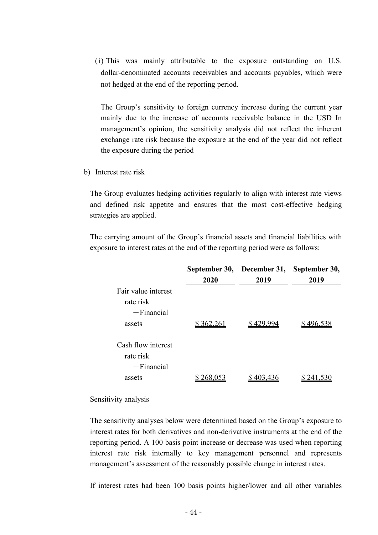(i) This was mainly attributable to the exposure outstanding on U.S. dollar-denominated accounts receivables and accounts payables, which were not hedged at the end of the reporting period.

The Group's sensitivity to foreign currency increase during the current year mainly due to the increase of accounts receivable balance in the USD In management's opinion, the sensitivity analysis did not reflect the inherent exchange rate risk because the exposure at the end of the year did not reflect the exposure during the period

b) Interest rate risk

The Group evaluates hedging activities regularly to align with interest rate views and defined risk appetite and ensures that the most cost-effective hedging strategies are applied.

The carrying amount of the Group's financial assets and financial liabilities with exposure to interest rates at the end of the reporting period were as follows:

|                                                 | September 30,<br>2020 | December 31,<br>2019 | September 30,<br>2019 |
|-------------------------------------------------|-----------------------|----------------------|-----------------------|
| Fair value interest<br>rate risk                |                       |                      |                       |
| $-Financial$<br>assets                          | \$362,261             | \$429.994            | \$496,538             |
| Cash flow interest<br>rate risk<br>$-Financial$ |                       |                      |                       |
| assets                                          |                       |                      |                       |

#### Sensitivity analysis

The sensitivity analyses below were determined based on the Group's exposure to interest rates for both derivatives and non-derivative instruments at the end of the reporting period. A 100 basis point increase or decrease was used when reporting interest rate risk internally to key management personnel and represents management's assessment of the reasonably possible change in interest rates.

If interest rates had been 100 basis points higher/lower and all other variables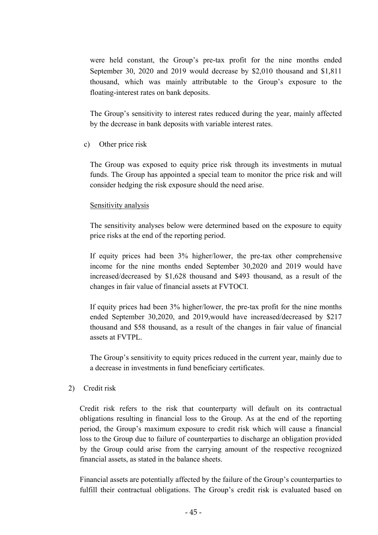were held constant, the Group's pre-tax profit for the nine months ended September 30, 2020 and 2019 would decrease by \$2,010 thousand and \$1,811 thousand, which was mainly attributable to the Group's exposure to the floating-interest rates on bank deposits.

The Group's sensitivity to interest rates reduced during the year, mainly affected by the decrease in bank deposits with variable interest rates.

c) Other price risk

The Group was exposed to equity price risk through its investments in mutual funds. The Group has appointed a special team to monitor the price risk and will consider hedging the risk exposure should the need arise.

### Sensitivity analysis

The sensitivity analyses below were determined based on the exposure to equity price risks at the end of the reporting period.

If equity prices had been 3% higher/lower, the pre-tax other comprehensive income for the nine months ended September 30,2020 and 2019 would have increased/decreased by \$1,628 thousand and \$493 thousand, as a result of the changes in fair value of financial assets at FVTOCI.

If equity prices had been 3% higher/lower, the pre-tax profit for the nine months ended September 30,2020, and 2019,would have increased/decreased by \$217 thousand and \$58 thousand, as a result of the changes in fair value of financial assets at FVTPL.

The Group's sensitivity to equity prices reduced in the current year, mainly due to a decrease in investments in fund beneficiary certificates.

### 2) Credit risk

Credit risk refers to the risk that counterparty will default on its contractual obligations resulting in financial loss to the Group. As at the end of the reporting period, the Group's maximum exposure to credit risk which will cause a financial loss to the Group due to failure of counterparties to discharge an obligation provided by the Group could arise from the carrying amount of the respective recognized financial assets, as stated in the balance sheets.

Financial assets are potentially affected by the failure of the Group's counterparties to fulfill their contractual obligations. The Group's credit risk is evaluated based on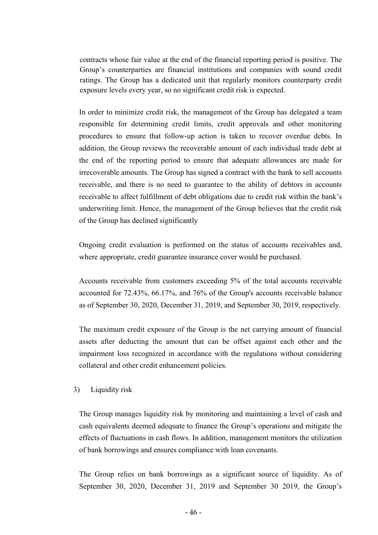contracts whose fair value at the end of the financial reporting period is positive. The Group's counterparties are financial institutions and companies with sound credit ratings. The Group has a dedicated unit that regularly monitors counterparty credit exposure levels every year, so no significant credit risk is expected.

In order to minimize credit risk, the management of the Group has delegated a team responsible for determining credit limits, credit approvals and other monitoring procedures to ensure that follow-up action is taken to recover overdue debts. In addition, the Group reviews the recoverable amount of each individual trade debt at the end of the reporting period to ensure that adequate allowances are made for irrecoverable amounts. The Group has signed a contract with the bank to sell accounts receivable, and there is no need to guarantee to the ability of debtors in accounts receivable to affect fulfillment of debt obligations due to credit risk within the bank's underwriting limit. Hence, the management of the Group believes that the credit risk of the Group has declined significantly

Ongoing credit evaluation is performed on the status of accounts receivables and, where appropriate, credit guarantee insurance cover would be purchased.

Accounts receivable from customers exceeding 5% of the total accounts receivable accounted for 72.43%, 66.17%, and 76% of the Group's accounts receivable balance as of September 30, 2020, December 31, 2019, and September 30, 2019, respectively.

The maximum credit exposure of the Group is the net carrying amount of financial assets after deducting the amount that can be offset against each other and the impairment loss recognized in accordance with the regulations without considering collateral and other credit enhancement policies.

#### 3) Liquidity risk

The Group manages liquidity risk by monitoring and maintaining a level of cash and cash equivalents deemed adequate to finance the Group's operations and mitigate the effects of fluctuations in cash flows. In addition, management monitors the utilization of bank borrowings and ensures compliance with loan covenants.

The Group relies on bank borrowings as a significant source of liquidity. As of September 30, 2020, December 31, 2019 and September 30 2019, the Group's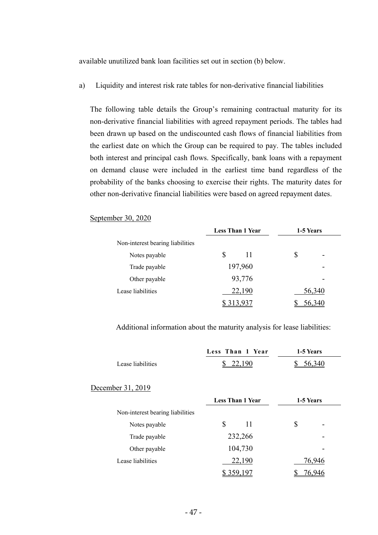available unutilized bank loan facilities set out in section (b) below.

a) Liquidity and interest risk rate tables for non-derivative financial liabilities

The following table details the Group's remaining contractual maturity for its non-derivative financial liabilities with agreed repayment periods. The tables had been drawn up based on the undiscounted cash flows of financial liabilities from the earliest date on which the Group can be required to pay. The tables included both interest and principal cash flows. Specifically, bank loans with a repayment on demand clause were included in the earliest time band regardless of the probability of the banks choosing to exercise their rights. The maturity dates for other non-derivative financial liabilities were based on agreed repayment dates.

#### September 30, 2020

|                                  | <b>Less Than 1 Year</b> | 1-5 Years |        |
|----------------------------------|-------------------------|-----------|--------|
| Non-interest bearing liabilities |                         |           |        |
| Notes payable                    | \$<br>11                | \$        |        |
| Trade payable                    | 197,960                 |           |        |
| Other payable                    | 93,776                  |           |        |
| Lease liabilities                | 22,190                  |           | 56,340 |
|                                  |                         |           |        |

Additional information about the maturity analysis for lease liabilities:

|                                  | Less Than 1 Year        | 1-5 Years |
|----------------------------------|-------------------------|-----------|
| Lease liabilities                | 22,190                  | 56,340    |
| December 31, 2019                |                         |           |
|                                  | <b>Less Than 1 Year</b> | 1-5 Years |
| Non-interest bearing liabilities |                         |           |
| Notes payable                    | \$<br>11                | S         |
| Trade payable                    | 232,266                 |           |
| Other payable                    | 104,730                 |           |
| Lease liabilities                | 22,190                  | 76,946    |
|                                  | 359.1                   | '6.946    |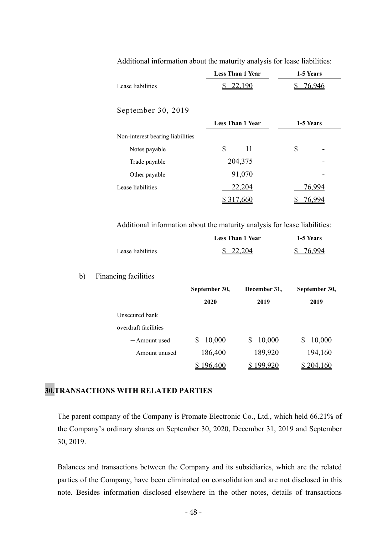|                                  | <b>Less Than 1 Year</b> | 1-5 Years |
|----------------------------------|-------------------------|-----------|
| Lease liabilities                | 22,190<br>\$            | 76,946    |
|                                  |                         |           |
| September 30, 2019               |                         |           |
|                                  | <b>Less Than 1 Year</b> | 1-5 Years |
| Non-interest bearing liabilities |                         |           |
| Notes payable                    | \$<br>11                | \$        |
| Trade payable                    | 204,375                 |           |
| Other payable                    | 91,070                  |           |
| Lease liabilities                | 22,204                  | 76,994    |
|                                  |                         |           |

Additional information about the maturity analysis for lease liabilities:

Additional information about the maturity analysis for lease liabilities:

|                   | <b>Less Than 1 Year</b> | <b>1-5 Years</b> |
|-------------------|-------------------------|------------------|
| Lease liabilities | \$22,204                | 76 QQ4           |

#### b) Financing facilities

|                      | September 30, | December 31, | September 30, |  |
|----------------------|---------------|--------------|---------------|--|
|                      | 2020          | 2019         | 2019          |  |
| Unsecured bank       |               |              |               |  |
| overdraft facilities |               |              |               |  |
| $-$ Amount used      | 10,000        | 10,000       | 10,000        |  |
| $-$ Amount unused    | 186,400       | 189,920      | 194,160       |  |
|                      | 96,400        | 99.920       | 204,160       |  |

# **30.TRANSACTIONS WITH RELATED PARTIES**

The parent company of the Company is Promate Electronic Co., Ltd., which held 66.21% of the Company's ordinary shares on September 30, 2020, December 31, 2019 and September 30, 2019.

Balances and transactions between the Company and its subsidiaries, which are the related parties of the Company, have been eliminated on consolidation and are not disclosed in this note. Besides information disclosed elsewhere in the other notes, details of transactions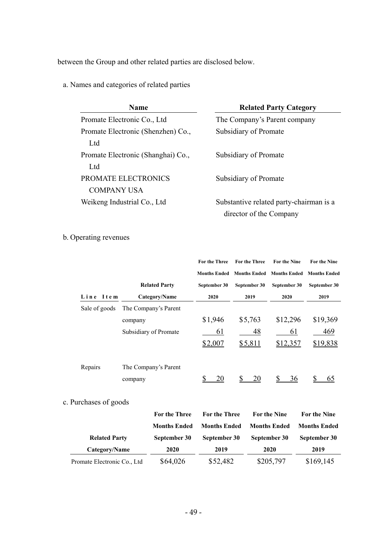between the Group and other related parties are disclosed below.

a. Names and categories of related parties

| <b>Name</b>                        | <b>Related Party Category</b>           |
|------------------------------------|-----------------------------------------|
| Promate Electronic Co., Ltd        | The Company's Parent company            |
| Promate Electronic (Shenzhen) Co., | Subsidiary of Promate                   |
| Ltd                                |                                         |
| Promate Electronic (Shanghai) Co., | Subsidiary of Promate                   |
| Ltd                                |                                         |
| <b>PROMATE ELECTRONICS</b>         | Subsidiary of Promate                   |
| <b>COMPANY USA</b>                 |                                         |
| Weikeng Industrial Co., Ltd        | Substantive related party-chairman is a |
|                                    | director of the Company                 |

# b. Operating revenues

|               |                       | <b>For the Three</b> | <b>For the Three</b>                                | <b>For the Nine</b> | <b>For the Nine</b> |
|---------------|-----------------------|----------------------|-----------------------------------------------------|---------------------|---------------------|
|               |                       |                      | Months Ended Months Ended Months Ended Months Ended |                     |                     |
|               | <b>Related Party</b>  | September 30         | September 30                                        | September 30        | September 30        |
| Line Item     | Category/Name         | 2020                 | 2019                                                | 2020                | 2019                |
| Sale of goods | The Company's Parent  |                      |                                                     |                     |                     |
|               | company               | \$1,946              | \$5,763                                             | \$12,296            | \$19,369            |
|               | Subsidiary of Promate | 61                   | 48                                                  | 61                  | 469                 |
|               |                       | \$2,007              | \$5,811                                             | \$12,357            | \$19,838            |
|               |                       |                      |                                                     |                     |                     |
| Repairs       | The Company's Parent  |                      |                                                     |                     |                     |
|               | company               | 20                   | <b>S</b><br>20                                      | 36                  | 65                  |
|               |                       |                      |                                                     |                     |                     |

# c. Purchases of goods

|                             | For the Three       | <b>For the Three</b> | For the Nine        | For the Nine        |
|-----------------------------|---------------------|----------------------|---------------------|---------------------|
|                             | <b>Months Ended</b> | <b>Months Ended</b>  | <b>Months Ended</b> | <b>Months Ended</b> |
| <b>Related Party</b>        | September 30        | September 30         | September 30        | September 30        |
| Category/Name               | 2020                | 2019                 | 2020                | 2019                |
| Promate Electronic Co., Ltd | \$64,026            | \$52,482             | \$205,797           | \$169,145           |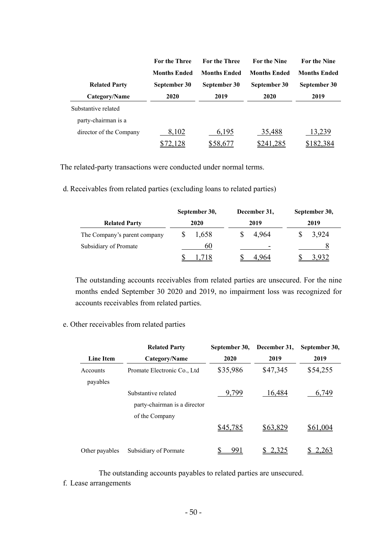|                         | <b>For the Three</b> | <b>For the Three</b> | <b>For the Nine</b> | <b>For the Nine</b> |
|-------------------------|----------------------|----------------------|---------------------|---------------------|
|                         | <b>Months Ended</b>  | <b>Months Ended</b>  | <b>Months Ended</b> | <b>Months Ended</b> |
| <b>Related Party</b>    | September 30         | September 30         | September 30        | September 30        |
| Category/Name           | 2020                 | 2019                 | 2020                | 2019                |
| Substantive related     |                      |                      |                     |                     |
| party-chairman is a     |                      |                      |                     |                     |
| director of the Company | 8,102                | 6,195                | 35,488              | 13,239              |
|                         |                      | \$58,677             | \$241,285           | \$182,384           |

The related-party transactions were conducted under normal terms.

d. Receivables from related parties (excluding loans to related parties)

|                              | September 30, |       | December 31, |                          | September 30, |       |
|------------------------------|---------------|-------|--------------|--------------------------|---------------|-------|
| <b>Related Party</b>         | 2020          |       | 2019         |                          | 2019          |       |
| The Company's parent company |               | 1,658 |              | 4,964                    |               | 3,924 |
| Subsidiary of Promate        |               | 60    |              | $\overline{\phantom{a}}$ |               |       |
|                              |               |       |              | 4 964                    |               | 932   |

The outstanding accounts receivables from related parties are unsecured. For the nine months ended September 30 2020 and 2019, no impairment loss was recognized for accounts receivables from related parties.

# e. Other receivables from related parties

|                      | <b>Related Party</b>                                                  | September 30, | December 31, | September 30, |
|----------------------|-----------------------------------------------------------------------|---------------|--------------|---------------|
| <b>Line Item</b>     | Category/Name                                                         | 2020          | 2019         | 2019          |
| Accounts<br>payables | Promate Electronic Co., Ltd                                           | \$35,986      | \$47,345     | \$54,255      |
|                      | Substantive related<br>party-chairman is a director<br>of the Company | 9,799         | 16,484       | 6,749         |
|                      |                                                                       | \$45,785      | \$63,829     | \$61,004      |
| Other payables       | Subsidiary of Pormate                                                 | 991           | 2,325        | 2.263         |

 The outstanding accounts payables to related parties are unsecured. f. Lease arrangements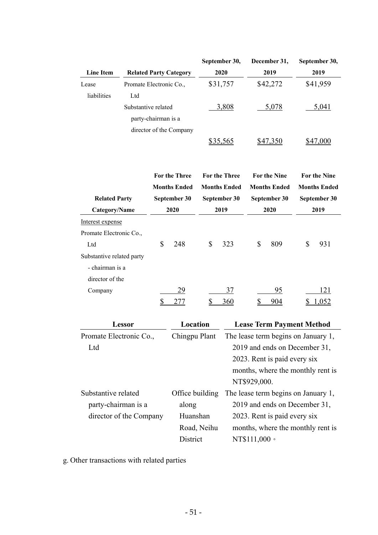|                              |                         |                     |                               |             | September 30,        |                               | December 31,                        | September 30,       |
|------------------------------|-------------------------|---------------------|-------------------------------|-------------|----------------------|-------------------------------|-------------------------------------|---------------------|
| <b>Line Item</b>             |                         |                     | <b>Related Party Category</b> |             | 2020                 |                               | 2019                                | 2019                |
| Lease                        | Promate Electronic Co., |                     |                               |             | \$31,757             |                               | \$42,272                            | \$41,959            |
| liabilities                  | Ltd                     |                     |                               |             |                      |                               |                                     |                     |
|                              | Substantive related     |                     |                               |             | <u>3,808</u>         |                               | 5,078                               | 5,041               |
|                              |                         | party-chairman is a |                               |             |                      |                               |                                     |                     |
|                              |                         |                     | director of the Company       |             |                      |                               |                                     |                     |
|                              |                         |                     |                               |             | \$35,565             |                               | \$47,350                            | \$47,000            |
|                              |                         |                     |                               |             |                      |                               |                                     |                     |
|                              |                         |                     | <b>For the Three</b>          |             | <b>For the Three</b> |                               | <b>For the Nine</b>                 | <b>For the Nine</b> |
|                              |                         |                     | <b>Months Ended</b>           |             | <b>Months Ended</b>  |                               | <b>Months Ended</b>                 | <b>Months Ended</b> |
| <b>Related Party</b>         |                         |                     | September 30                  |             | September 30         |                               | September 30                        | September 30        |
| Category/Name                |                         |                     | 2020                          |             | 2019                 |                               | 2020                                | 2019                |
| Interest expense             |                         |                     |                               |             |                      |                               |                                     |                     |
| Promate Electronic Co.,      |                         |                     |                               |             |                      |                               |                                     |                     |
| Ltd                          |                         | \$                  | 248                           | \$          | 323                  | \$                            | 809                                 | \$<br>931           |
| Substantive related party    |                         |                     |                               |             |                      |                               |                                     |                     |
| - chairman is a              |                         |                     |                               |             |                      |                               |                                     |                     |
| director of the              |                         |                     |                               |             |                      |                               |                                     |                     |
| Company                      |                         |                     | 29                            |             | 37                   |                               | 95                                  | 121                 |
|                              |                         | \$                  | 277                           | \$          | <u>360</u>           | \$                            | 904                                 | 1,052               |
|                              |                         |                     |                               |             |                      |                               |                                     |                     |
|                              | <b>Lessor</b>           |                     | Location                      |             |                      |                               | <b>Lease Term Payment Method</b>    |                     |
| Promate Electronic Co.,      |                         |                     | Chingpu Plant                 |             |                      |                               | The lease term begins on January 1, |                     |
| Ltd                          |                         |                     |                               |             |                      |                               | 2019 and ends on December 31,       |                     |
|                              |                         |                     |                               |             |                      |                               | 2023. Rent is paid every six        |                     |
|                              |                         |                     |                               |             |                      |                               | months, where the monthly rent is   |                     |
|                              |                         |                     |                               |             |                      | NT\$929,000.                  |                                     |                     |
| Substantive related          |                         |                     | Office building               |             |                      |                               | The lease term begins on January 1, |                     |
| party-chairman is a<br>along |                         |                     |                               |             |                      | 2019 and ends on December 31, |                                     |                     |
| director of the Company      |                         |                     | Huanshan                      |             |                      |                               | 2023. Rent is paid every six        |                     |
|                              |                         |                     |                               | Road, Neihu |                      |                               | months, where the monthly rent is   |                     |
|                              |                         |                     | District                      |             |                      | NT\$111,000 ·                 |                                     |                     |

g. Other transactions with related parties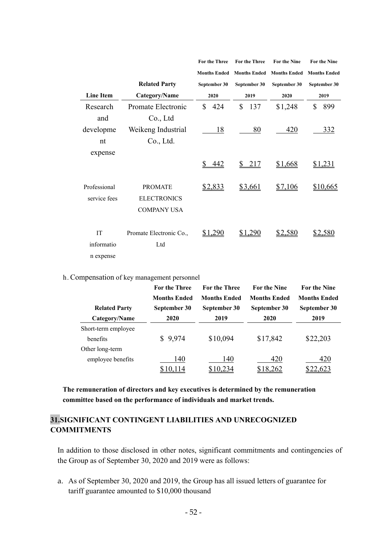|                  |                         | <b>For the Three</b> | <b>For the Three</b>  | <b>For the Nine</b> | <b>For the Nine</b> |
|------------------|-------------------------|----------------------|-----------------------|---------------------|---------------------|
|                  |                         | <b>Months Ended</b>  | <b>Months Ended</b>   | <b>Months Ended</b> | <b>Months Ended</b> |
|                  | <b>Related Party</b>    | September 30         | September 30          | September 30        | September 30        |
| <b>Line Item</b> | Category/Name           | 2020                 | 2019                  | 2020                | 2019                |
| Research         | Promate Electronic      | \$<br>424            | $\mathbb{S}$<br>137   | \$1,248             | \$<br>899           |
| and              | Co., Ltd                |                      |                       |                     |                     |
| developme        | Weikeng Industrial      | 18                   | 80                    | 420                 | <u>332</u>          |
| nt               | Co., Ltd.               |                      |                       |                     |                     |
| expense          |                         |                      |                       |                     |                     |
|                  |                         | 442                  | $\mathbb{S}^-$<br>217 | \$1,668             | <u>\$1,231</u>      |
| Professional     | <b>PROMATE</b>          | \$2,833              | \$3,661               | \$7,106             | \$10,665            |
| service fees     | <b>ELECTRONICS</b>      |                      |                       |                     |                     |
|                  | <b>COMPANY USA</b>      |                      |                       |                     |                     |
| IT               | Promate Electronic Co., | \$1,290              | \$1,290               | \$2,580             | <u>\$2,580</u>      |
| informatio       | Ltd                     |                      |                       |                     |                     |
| n expense        |                         |                      |                       |                     |                     |
|                  |                         |                      |                       |                     |                     |

h. Compensation of key management personnel

|                      | <b>For the Three</b> | <b>For the Three</b> | <b>For the Nine</b> | <b>For the Nine</b> |
|----------------------|----------------------|----------------------|---------------------|---------------------|
|                      | <b>Months Ended</b>  | <b>Months Ended</b>  | <b>Months Ended</b> | <b>Months Ended</b> |
| <b>Related Party</b> | September 30         | September 30         | September 30        | September 30        |
| Category/Name        | 2020                 | 2019                 | 2020                | 2019                |
| Short-term employee  |                      |                      |                     |                     |
| henefits             | \$9,974              | \$10,094             | \$17,842            | \$22,203            |
| Other long-term      |                      |                      |                     |                     |
| employee benefits    | 140                  | 140                  | 420                 | 420                 |
|                      | 10,114               | \$10,234             | \$18,262            | 2.623               |

**The remuneration of directors and key executives is determined by the remuneration committee based on the performance of individuals and market trends.** 

# **31.SIGNIFICANT CONTINGENT LIABILITIES AND UNRECOGNIZED COMMITMENTS**

In addition to those disclosed in other notes, significant commitments and contingencies of the Group as of September 30, 2020 and 2019 were as follows:

a. As of September 30, 2020 and 2019, the Group has all issued letters of guarantee for tariff guarantee amounted to \$10,000 thousand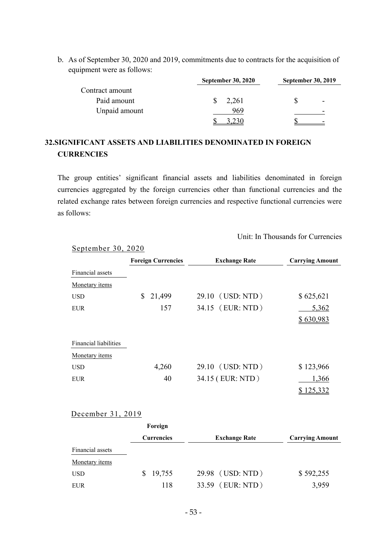b. As of September 30, 2020 and 2019, commitments due to contracts for the acquisition of equipment were as follows:

|                 | <b>September 30, 2020</b> | <b>September 30, 2019</b> |  |  |
|-----------------|---------------------------|---------------------------|--|--|
| Contract amount |                           |                           |  |  |
| Paid amount     | 2,261                     | ۰                         |  |  |
| Unpaid amount   | 969                       |                           |  |  |
|                 |                           |                           |  |  |

# **32.SIGNIFICANT ASSETS AND LIABILITIES DENOMINATED IN FOREIGN CURRENCIES**

The group entities' significant financial assets and liabilities denominated in foreign currencies aggregated by the foreign currencies other than functional currencies and the related exchange rates between foreign currencies and respective functional currencies were as follows:

Unit: In Thousands for Currencies

|                              | <b>Foreign Currencies</b> | <b>Exchange Rate</b> | <b>Carrying Amount</b> |
|------------------------------|---------------------------|----------------------|------------------------|
| Financial assets             |                           |                      |                        |
| Monetary <i>items</i>        |                           |                      |                        |
| <b>USD</b>                   | 21,499<br>\$              | 29.10 (USD: NTD)     | \$625,621              |
| EUR                          | 157                       | 34.15 (EUR: NTD)     | 5,362                  |
|                              |                           |                      | \$630,983              |
|                              |                           |                      |                        |
| <b>Financial liabilities</b> |                           |                      |                        |
| Monetary items               |                           |                      |                        |
| <b>USD</b>                   | 4,260                     | 29.10 (USD: NTD)     | \$123,966              |
| <b>EUR</b>                   | 40                        | 34.15 (EUR: NTD)     | 1,366                  |
|                              |                           |                      | 125,332                |

### December 31, 2019

September 30, 2020

|                  | Foreign           |                      |                        |  |  |
|------------------|-------------------|----------------------|------------------------|--|--|
|                  | <b>Currencies</b> | <b>Exchange Rate</b> | <b>Carrying Amount</b> |  |  |
| Financial assets |                   |                      |                        |  |  |
| Monetary items   |                   |                      |                        |  |  |
| <b>USD</b>       | 19,755            | 29.98 (USD: NTD)     | \$592,255              |  |  |
| EUR              | 118               | (EUR: NTD)<br>33.59  | 3,959                  |  |  |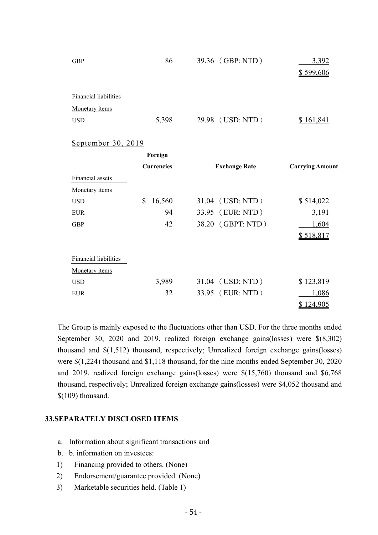| <b>GBP</b>            | 86    | 39.36 (GBP: NTD) | 3,392     |
|-----------------------|-------|------------------|-----------|
|                       |       |                  | \$599,606 |
|                       |       |                  |           |
| Financial liabilities |       |                  |           |
| Monetary items        |       |                  |           |
| <b>USD</b>            | 5,398 | 29.98 (USD: NTD) |           |

#### September 30, 2019

|                              | Foreign           |                      |                        |
|------------------------------|-------------------|----------------------|------------------------|
|                              | <b>Currencies</b> | <b>Exchange Rate</b> | <b>Carrying Amount</b> |
| Financial assets             |                   |                      |                        |
| Monetary items               |                   |                      |                        |
| <b>USD</b>                   | \$<br>16,560      | 31.04 (USD: NTD)     | \$514,022              |
| <b>EUR</b>                   | 94                | 33.95 (EUR: NTD)     | 3,191                  |
| <b>GBP</b>                   | 42                | 38.20 (GBPT: NTD)    | 1,604                  |
|                              |                   |                      | \$518,817              |
| <b>Financial liabilities</b> |                   |                      |                        |
| Monetary items               |                   |                      |                        |
| <b>USD</b>                   | 3,989             | 31.04 (USD: NTD)     | \$123,819              |
| <b>EUR</b>                   | 32                | 33.95 (EUR: NTD)     | 1,086                  |
|                              |                   |                      | 124,905                |

The Group is mainly exposed to the fluctuations other than USD. For the three months ended September 30, 2020 and 2019, realized foreign exchange gains(losses) were \$(8,302) thousand and \$(1,512) thousand, respectively; Unrealized foreign exchange gains(losses) were \$(1,224) thousand and \$1,118 thousand, for the nine months ended September 30, 2020 and 2019, realized foreign exchange gains(losses) were \$(15,760) thousand and \$6,768 thousand, respectively; Unrealized foreign exchange gains(losses) were \$4,052 thousand and \$(109) thousand.

#### **33.SEPARATELY DISCLOSED ITEMS**

- a. Information about significant transactions and
- b. b. information on investees:
- 1) Financing provided to others. (None)
- 2) Endorsement/guarantee provided. (None)
- 3) Marketable securities held. (Table 1)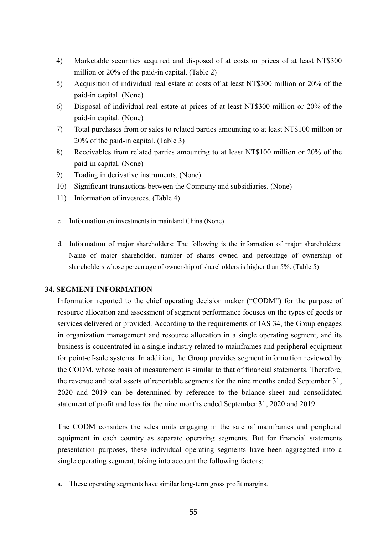- 4) Marketable securities acquired and disposed of at costs or prices of at least NT\$300 million or 20% of the paid-in capital. (Table 2)
- 5) Acquisition of individual real estate at costs of at least NT\$300 million or 20% of the paid-in capital. (None)
- 6) Disposal of individual real estate at prices of at least NT\$300 million or 20% of the paid-in capital. (None)
- 7) Total purchases from or sales to related parties amounting to at least NT\$100 million or 20% of the paid-in capital. (Table 3)
- 8) Receivables from related parties amounting to at least NT\$100 million or 20% of the paid-in capital. (None)
- 9) Trading in derivative instruments. (None)
- 10) Significant transactions between the Company and subsidiaries. (None)
- 11) Information of investees. (Table 4)
- c. Information on investments in mainland China (None)
- d. Information of major shareholders: The following is the information of major shareholders: Name of major shareholder, number of shares owned and percentage of ownership of shareholders whose percentage of ownership of shareholders is higher than 5%. (Table 5)

### **34. SEGMENT INFORMATION**

Information reported to the chief operating decision maker ("CODM") for the purpose of resource allocation and assessment of segment performance focuses on the types of goods or services delivered or provided. According to the requirements of IAS 34, the Group engages in organization management and resource allocation in a single operating segment, and its business is concentrated in a single industry related to mainframes and peripheral equipment for point-of-sale systems. In addition, the Group provides segment information reviewed by the CODM, whose basis of measurement is similar to that of financial statements. Therefore, the revenue and total assets of reportable segments for the nine months ended September 31, 2020 and 2019 can be determined by reference to the balance sheet and consolidated statement of profit and loss for the nine months ended September 31, 2020 and 2019.

The CODM considers the sales units engaging in the sale of mainframes and peripheral equipment in each country as separate operating segments. But for financial statements presentation purposes, these individual operating segments have been aggregated into a single operating segment, taking into account the following factors:

a. These operating segments have similar long-term gross profit margins.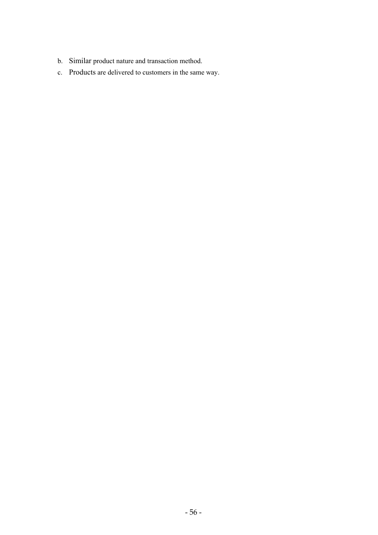- b. Similar product nature and transaction method.
- c. Products are delivered to customers in the same way.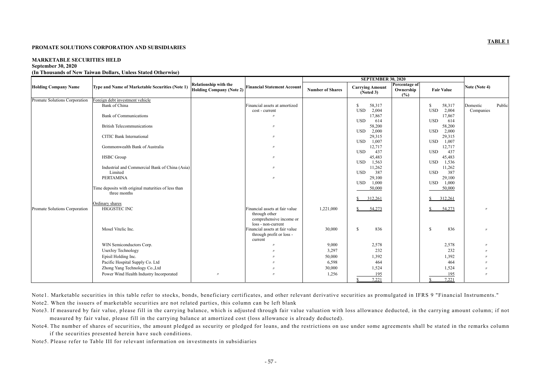# **TABLE 1**

#### **PROMATE SOLUTIONS CORPORATION AND SUBSIDIARIES**

# **MARKETABLE SECURITIES HELD September 30, 2020**

# **(In Thousands of New Taiwan Dollars, Unless Stated Otherwise)**

|                               |                                                                     |                                                                 |                                                                                                  | <b>SEPTEMBER 30, 2020</b> |                                                    |                                   |                                                    |                    |
|-------------------------------|---------------------------------------------------------------------|-----------------------------------------------------------------|--------------------------------------------------------------------------------------------------|---------------------------|----------------------------------------------------|-----------------------------------|----------------------------------------------------|--------------------|
| <b>Holding Company Name</b>   | Type and Name of Marketable Securities (Note 1)                     | <b>Relationship with the</b><br><b>Holding Company (Note 2)</b> | <b>Financial Statement Account</b>                                                               | <b>Number of Shares</b>   | <b>Carrying Amount</b><br>(Noted 3)                | Percentage of<br>Ownership<br>(%) | <b>Fair Value</b>                                  | Note (Note 4)      |
| Promate Solutions Corporation | Foreign debt investment vehicle<br>Bank of China                    |                                                                 | Financial assets at amortized                                                                    |                           | 58,317<br>$\mathbb{S}$                             |                                   | 58,317<br>S.                                       | Public<br>Domestic |
|                               | <b>Bank of Communications</b>                                       |                                                                 | cost - current<br>$^{\prime\prime}$                                                              |                           | 2,004<br><b>USD</b><br>17,867                      |                                   | 2,004<br><b>USD</b><br>17,867                      | Companies          |
|                               | <b>British Telecommunications</b>                                   |                                                                 | $^{\prime\prime}$                                                                                |                           | <b>USD</b><br>614<br>58,200<br><b>USD</b><br>2,000 |                                   | 614<br><b>USD</b><br>58,200<br>2,000<br><b>USD</b> |                    |
|                               | <b>CITIC Bank International</b>                                     |                                                                 | $^{\prime\prime}$                                                                                |                           | 29,315<br><b>USD</b><br>1,007                      |                                   | 29,315<br>1,007<br><b>USD</b>                      |                    |
|                               | Gommonwealth Bank of Australia                                      |                                                                 | $^{\prime\prime}$                                                                                |                           | 12,717<br><b>USD</b><br>437                        |                                   | 12,717<br>437<br><b>USD</b>                        |                    |
|                               | <b>HSBC</b> Group                                                   |                                                                 | $^{\prime\prime}$                                                                                |                           | 45,483<br><b>USD</b><br>1,563                      |                                   | 45,483<br>1,536<br><b>USD</b>                      |                    |
|                               | Industrial and Commercial Bank of China (Asia)<br>Limited           |                                                                 | $^{\prime\prime}$                                                                                |                           | 11,262<br>387<br><b>USD</b>                        |                                   | 11,262<br>387<br><b>USD</b>                        |                    |
|                               | <b>PERTAMINA</b>                                                    |                                                                 | $^{\prime\prime}$                                                                                |                           | 29,100<br><b>USD</b><br>1,000                      |                                   | 29,100<br>1,000<br><b>USD</b>                      |                    |
|                               | Time deposits with original maturities of less than<br>three months |                                                                 |                                                                                                  |                           | 50,000                                             |                                   | 50,000                                             |                    |
|                               | Ordinary shares                                                     |                                                                 |                                                                                                  |                           | 312,261<br><sup>S</sup>                            |                                   | 312,261                                            |                    |
| Promate Solutions Corporation | HIGGSTEC INC                                                        |                                                                 | Financial assets at fair value<br>through other<br>comprehensive income or<br>loss - non-current | 1,221,000                 | 54,273<br><sup>S</sup>                             |                                   | 54,273<br>S.                                       |                    |
|                               | Mosel Vitelic Inc.                                                  |                                                                 | Financial assets at fair value<br>through profit or loss -<br>current                            | 30,000                    | $\mathbb{S}$<br>836                                |                                   | 836<br>\$                                          |                    |
|                               | WIN Semiconductors Corp.                                            |                                                                 |                                                                                                  | 9,000                     | 2,578                                              |                                   | 2,578                                              |                    |
|                               | <b>UserJoy Technology</b>                                           |                                                                 |                                                                                                  | 3,297                     | 232                                                |                                   | 232                                                |                    |
|                               | Episil Holding Inc.                                                 |                                                                 |                                                                                                  | 50,000                    | 1,392                                              |                                   | 1,392                                              |                    |
|                               | Pacific Hospital Supply Co. Ltd                                     |                                                                 |                                                                                                  | 6,598                     | 464                                                |                                   | 464                                                |                    |
|                               | Zhong Yang Technology Co., Ltd                                      |                                                                 |                                                                                                  | 30,000                    | 1,524                                              |                                   | 1,524                                              |                    |
|                               | Power Wind Health Industry Incorporated                             | $^{\prime\prime}$                                               | $^{\prime\prime}$                                                                                | 1,256                     | 195                                                |                                   | 195                                                | $^{\prime}$        |
|                               |                                                                     |                                                                 |                                                                                                  |                           | 7,221                                              |                                   | 7,221                                              |                    |

Note1. Marketable securities in this table refer to stocks, bonds, beneficiary certificates, and other relevant derivative securities as promulgated in IFRS 9 "Financial Instruments." Note2. When the issuers of marketable securities are not related parties, this column can be left blank

- Note3. If measured by fair value, please fill in the carrying balance, which is adjusted through fair value valuation with loss allowance deducted, in the carrying amount column; if not measured by fair value, please fill in the carrying balance at amortized cost (loss allowance is already deducted).
- Note4. The number of shares of securities, the amount pledged as security or pledged for loans, and the restrictions on use under some agreements shall be stated in the remarks column if the securities presented herein have such conditions.
- Note5. Please refer to Table III for relevant information on investments in subsidiaries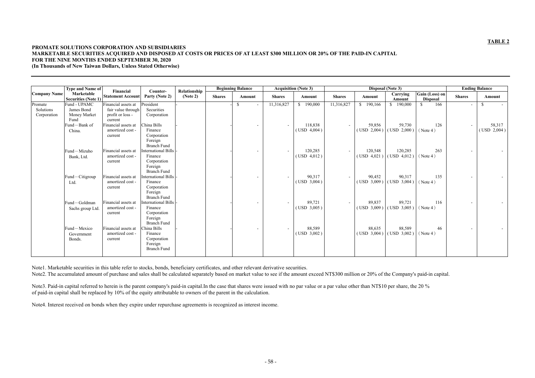# **TABLE 2**

# **PROMATE SOLUTIONS CORPORATION AND SUBSIDIARIES MARKETABLE SECURITIES ACQUIRED AND DISPOSED AT COSTS OR PRICES OF AT LEAST \$300 MILLION OR 20% OF THE PAID-IN CAPITAL FOR THE NINE MONTHS ENDED SEPTEMBER 30, 2020**

**(In Thousands of New Taiwan Dollars, Unless Stated Otherwise)** 

|                          | <b>Type and Name of</b><br>Marketable<br><b>Securities (Note 1)</b> | Financial                                          | Counter-<br>Party (Note 2)                                             | Relationship |               | <b>Beginning Balance</b> |                          |                | <b>Acquisition (Note 3)</b> |               |                            | Disposal (Note 3)          |                                   |               | <b>Ending Balance</b> |  |  |
|--------------------------|---------------------------------------------------------------------|----------------------------------------------------|------------------------------------------------------------------------|--------------|---------------|--------------------------|--------------------------|----------------|-----------------------------|---------------|----------------------------|----------------------------|-----------------------------------|---------------|-----------------------|--|--|
| Company Name             |                                                                     | <b>Statement Account</b>                           |                                                                        | (Note 2)     | <b>Shares</b> |                          | Amount                   | <b>Shares</b>  | Amount                      | <b>Shares</b> | Amount                     | Carrying<br>Amount         | Gain (Loss) on<br><b>Disposal</b> | <b>Shares</b> | Amount                |  |  |
| Promate                  | Fund - UPAMC                                                        | Financial assets at                                | President                                                              |              |               | $\mathcal{S}$            |                          | 11,316,827     | 190,000<br>$\mathbb{S}$     | 11,316,827    | \$190,166                  | \$190,000                  | 166<br>-S                         | $\sim$        | -S                    |  |  |
| Solutions<br>Corporation | James Bond<br>Money Market<br>Fund                                  | fair value through<br>profit or loss -<br>current  | Securities<br>Corporation                                              |              |               |                          |                          |                |                             |               |                            |                            |                                   |               |                       |  |  |
|                          | Fund-Bank of                                                        | Financial assets at                                | China Bills                                                            |              |               |                          | $\blacksquare$           | $\blacksquare$ | 118,838                     | $\sim$        | 59,856                     | 59,730                     | 126                               | $\sim$        | 58,317                |  |  |
|                          | China.                                                              | amortized cost -<br>current                        | Finance<br>Corporation<br>Foreign<br><b>Branch Fund</b>                |              |               |                          |                          |                | $($ USD $4,004)$            |               | $($ USD $2,004)$           | $($ USD $2,000)$           | (Note 4)                          |               | $($ USD $2,004)$      |  |  |
|                          | Fund-Mizuho                                                         | Financial assets at                                | International Bills                                                    |              |               |                          | $\overline{\phantom{a}}$ | $\sim$         | 120,285                     | $\sim$        | 120,548                    | 120,285                    | 263                               | $\sim$        |                       |  |  |
|                          | Bank, Ltd.                                                          | amortized cost -<br>current                        | Finance<br>Corporation<br>Foreign<br><b>Branch Fund</b>                |              |               |                          |                          |                | $($ USD $4,012)$            |               | $($ USD $4,021)$           | $($ USD $4,012)$           | (Note 4)                          |               |                       |  |  |
|                          | Fund-Citigroup                                                      | Financial assets at                                | nternational Bills                                                     |              |               |                          | $\sim$                   | $\blacksquare$ | 90,317                      | $\sim$        | 90,452                     | 90,317                     | 135                               | $\sim$        |                       |  |  |
|                          | Ltd.                                                                | amortized cost -<br>current                        | Finance<br>Corporation<br>Foreign<br><b>Branch Fund</b>                |              |               |                          |                          |                | $($ USD $3,004)$            |               | (USD 3,009)                | $($ USD $3,004$ )          | (Note 4)                          |               |                       |  |  |
|                          | Fund-Goldman                                                        | Financial assets at                                | nternational Bills                                                     |              |               |                          | $\sim$                   | $\sim$         | 89,721                      | $\sim$        | 89,837                     | 89,721                     | 116                               | $\sim$        |                       |  |  |
|                          | Sachs group Ltd.                                                    | amortized cost -<br>current                        | Finance<br>Corporation<br>Foreign<br><b>Branch Fund</b>                |              |               |                          |                          |                | $($ USD $3,005)$            |               | (USD 3,009)                | $($ USD $3,005)$           | (Note 4)                          |               |                       |  |  |
|                          | Fund-Mexico<br>Government<br>Bonds.                                 | Financial assets at<br>amortized cost -<br>current | China Bills<br>Finance<br>Corporation<br>Foreign<br><b>Branch Fund</b> |              |               |                          | $\sim$                   | $\blacksquare$ | 88,589<br>$($ USD $3,002)$  |               | 88,635<br>$($ USD $3,004)$ | 88,589<br>$($ USD $3,002)$ | 46<br>(Note 4)                    |               |                       |  |  |

Note3. Paid-in capital referred to herein is the parent company's paid-in capital.In the case that shares were issued with no par value or a par value other than NT\$10 per share, the 20 % of paid-in capital shall be replaced by 10% of the equity attributable to owners of the parent in the calculation.

Note1. Marketable securities in this table refer to stocks, bonds, beneficiary certificates, and other relevant derivative securities.

Note2. The accumulated amount of purchase and sales shall be calculated separately based on market value to see if the amount exceed NT\$300 million or 20% of the Company's paid-in capital.

Note4. Interest received on bonds when they expire under repurchase agreements is recognized as interest income.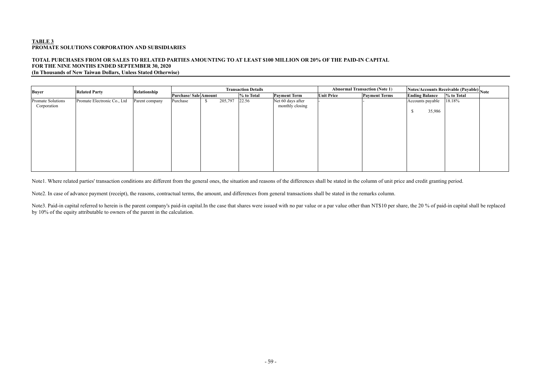### **TOTAL PURCHASES FROM OR SALES TO RELATED PARTIES AMOUNTING TO AT LEAST \$100 MILLION OR 20% OF THE PAID-IN CAPITAL FOR THE NINE MONTHS ENDED SEPTEMBER 30, 2020 (In Thousands of New Taiwan Dollars, Unless Stated Otherwise)**

| <b>Buyer</b>                     | <b>Related Party</b>        | Relationship   | <b>Transaction Details</b> |  |         |            |                                      |                   | <b>Abnormal Transaction (Note 1)</b> | Notes/Accounts Receivable (Payable) Note                  |            |  |
|----------------------------------|-----------------------------|----------------|----------------------------|--|---------|------------|--------------------------------------|-------------------|--------------------------------------|-----------------------------------------------------------|------------|--|
|                                  |                             |                | Purchase/Sale Amount       |  |         | % to Total | <b>Payment Term</b>                  | <b>Unit Price</b> | <b>Payment Terms</b>                 |                                                           | % to Total |  |
| Promate Solutions<br>Corporation | Promate Electronic Co., Ltd | Parent company | Purchase                   |  | 205,797 | 22.56      | Net 60 days after<br>monthly closing |                   |                                      | <b>Ending Balance</b><br>Accounts payable<br>35,986<br>\$ | 18.18%     |  |

Note3. Paid-in capital referred to herein is the parent company's paid-in capital.In the case that shares were issued with no par value or a par value other than NT\$10 per share, the 20 % of paid-in capital shall be replac by 10% of the equity attributable to owners of the parent in the calculation.

Note1. Where related parties' transaction conditions are different from the general ones, the situation and reasons of the differences shall be stated in the column of unit price and credit granting period.

Note2. In case of advance payment (receipt), the reasons, contractual terms, the amount, and differences from general transactions shall be stated in the remarks column.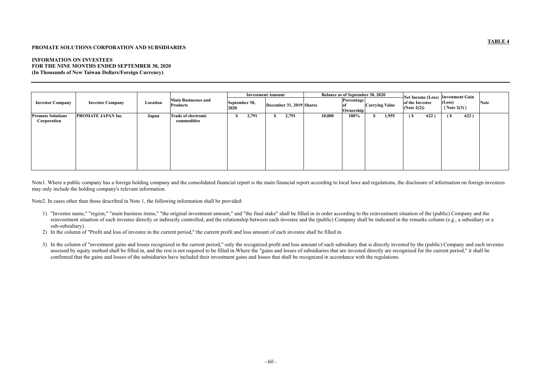# **TABLE 4**

### **PROMATE SOLUTIONS CORPORATION AND SUBSIDIARIES**

### **INFORMATION ON INVESTEES FOR THE NINE MONTHS ENDED SEPTEMBER 30, 2020 (In Thousands of New Taiwan Dollars/Foreign Currency)**

|                                         |                          |          |                                               | <b>Investment Amount</b> |       |                          |       | <b>Balance as of September 30, 2020</b> |        |                                                         |      |                                   |        | Net Income (Loss) Investment Gain |      |             |  |
|-----------------------------------------|--------------------------|----------|-----------------------------------------------|--------------------------|-------|--------------------------|-------|-----------------------------------------|--------|---------------------------------------------------------|------|-----------------------------------|--------|-----------------------------------|------|-------------|--|
| <b>Investor Company</b>                 | <b>Investee Company</b>  | Location | <b>Main Businesses and</b><br><b>Products</b> | September 30,<br>2020    |       | December 31, 2019 Shares |       |                                         |        | Percentage<br><b>Carrying Value</b><br><b>Ownership</b> |      | of the Investee<br>(Note $2(2)$ ) |        | (Loss)<br>(Note 2(3))             |      | <b>Note</b> |  |
| <b>Promate Solutions</b><br>Corporation | <b>PROMATE JAPAN Inc</b> | Japan    | <b>Trade of electronic</b><br>commodities     | ъ                        | 2,791 | S.                       | 2,791 |                                         | 10,000 | 100%                                                    | - 70 | 1,955                             | $\sim$ | 622)                              | ( \$ | 622)        |  |

Note1. Where a public company has a foreign holding company and the consolidated financial report is the main financial report according to local laws and regulations, the disclosure of information on foreign investees may only include the holding company's relevant information.

Note2. In cases other than those described in Note 1, the following information shall be provided:

- 1) "Investee name," "region," "main business items," "the original investment amount," and "the final stake" shall be filled in in order according to the reinvestment situation of the (public) Company and the reinvestment situation of each investee directly or indirectly controlled, and the relationship between each investee and the (public) Company shall be indicated in the remarks column (e.g., a subsidiary or a sub-subsidiary).
- 2) In the column of "Profit and loss of investee in the current period," the current profit and loss amount of each investee shall be filled in.
- 3) In the column of "investment gains and losses recognized in the current period," only the recognized profit and loss amount of each subsidiary that is directly invested by the (public) Company and each investee assessed by equity method shall be filled in, and the rest is not required to be filled in. Where the "gains and losses of subsidiaries that are invested directly are recognized for the current period," it shall be confirmed that the gains and losses of the subsidiaries have included their investment gains and losses that shall be recognized in accordance with the regulations.